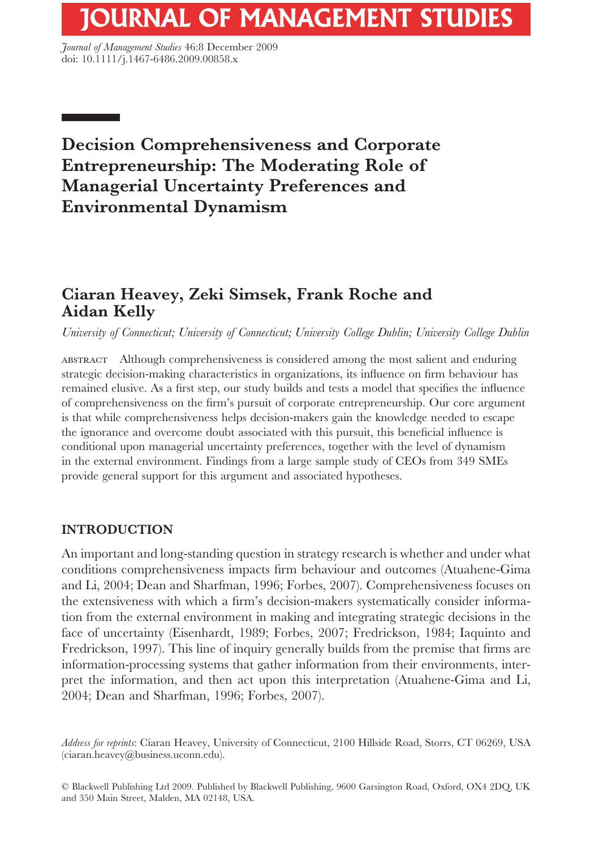# **JOURNAL OF MANAGEMENT STUDIES**

*Journal of Management Studies* 46:8 December 2009 doi: 10.1111/j.1467-6486.2009.00858.x

## **Decision Comprehensiveness and Corporate Entrepreneurship: The Moderating Role of Managerial Uncertainty Preferences and Environmental Dynamism**

## **Ciaran Heavey, Zeki Simsek, Frank Roche and Aidan Kelly**

*University of Connecticut; University of Connecticut; University College Dublin; University College Dublin*

abstract Although comprehensiveness is considered among the most salient and enduring strategic decision-making characteristics in organizations, its influence on firm behaviour has remained elusive. As a first step, our study builds and tests a model that specifies the influence of comprehensiveness on the firm's pursuit of corporate entrepreneurship. Our core argument is that while comprehensiveness helps decision-makers gain the knowledge needed to escape the ignorance and overcome doubt associated with this pursuit, this beneficial influence is conditional upon managerial uncertainty preferences, together with the level of dynamism in the external environment. Findings from a large sample study of CEOs from 349 SMEs provide general support for this argument and associated hypotheses.

## **INTRODUCTION**

An important and long-standing question in strategy research is whether and under what conditions comprehensiveness impacts firm behaviour and outcomes (Atuahene-Gima and Li, 2004; Dean and Sharfman, 1996; Forbes, 2007). Comprehensiveness focuses on the extensiveness with which a firm's decision-makers systematically consider information from the external environment in making and integrating strategic decisions in the face of uncertainty (Eisenhardt, 1989; Forbes, 2007; Fredrickson, 1984; Iaquinto and Fredrickson, 1997). This line of inquiry generally builds from the premise that firms are information-processing systems that gather information from their environments, interpret the information, and then act upon this interpretation (Atuahene-Gima and Li, 2004; Dean and Sharfman, 1996; Forbes, 2007).

*Address for reprints*: Ciaran Heavey, University of Connecticut, 2100 Hillside Road, Storrs, CT 06269, USA (ciaran.heavey@business.uconn.edu).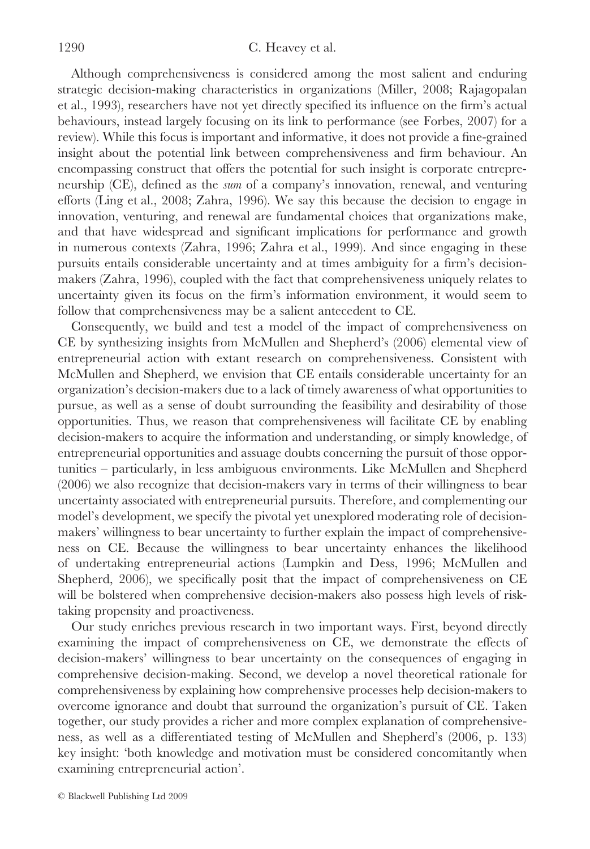Although comprehensiveness is considered among the most salient and enduring strategic decision-making characteristics in organizations (Miller, 2008; Rajagopalan et al., 1993), researchers have not yet directly specified its influence on the firm's actual behaviours, instead largely focusing on its link to performance (see Forbes, 2007) for a review). While this focus is important and informative, it does not provide a fine-grained insight about the potential link between comprehensiveness and firm behaviour. An encompassing construct that offers the potential for such insight is corporate entrepreneurship (CE), defined as the *sum* of a company's innovation, renewal, and venturing efforts (Ling et al., 2008; Zahra, 1996). We say this because the decision to engage in innovation, venturing, and renewal are fundamental choices that organizations make, and that have widespread and significant implications for performance and growth in numerous contexts (Zahra, 1996; Zahra et al., 1999). And since engaging in these pursuits entails considerable uncertainty and at times ambiguity for a firm's decisionmakers (Zahra, 1996), coupled with the fact that comprehensiveness uniquely relates to uncertainty given its focus on the firm's information environment, it would seem to follow that comprehensiveness may be a salient antecedent to CE.

Consequently, we build and test a model of the impact of comprehensiveness on CE by synthesizing insights from McMullen and Shepherd's (2006) elemental view of entrepreneurial action with extant research on comprehensiveness. Consistent with McMullen and Shepherd, we envision that CE entails considerable uncertainty for an organization's decision-makers due to a lack of timely awareness of what opportunities to pursue, as well as a sense of doubt surrounding the feasibility and desirability of those opportunities. Thus, we reason that comprehensiveness will facilitate CE by enabling decision-makers to acquire the information and understanding, or simply knowledge, of entrepreneurial opportunities and assuage doubts concerning the pursuit of those opportunities – particularly, in less ambiguous environments. Like McMullen and Shepherd (2006) we also recognize that decision-makers vary in terms of their willingness to bear uncertainty associated with entrepreneurial pursuits. Therefore, and complementing our model's development, we specify the pivotal yet unexplored moderating role of decisionmakers' willingness to bear uncertainty to further explain the impact of comprehensiveness on CE. Because the willingness to bear uncertainty enhances the likelihood of undertaking entrepreneurial actions (Lumpkin and Dess, 1996; McMullen and Shepherd, 2006), we specifically posit that the impact of comprehensiveness on CE will be bolstered when comprehensive decision-makers also possess high levels of risktaking propensity and proactiveness.

Our study enriches previous research in two important ways. First, beyond directly examining the impact of comprehensiveness on CE, we demonstrate the effects of decision-makers' willingness to bear uncertainty on the consequences of engaging in comprehensive decision-making. Second, we develop a novel theoretical rationale for comprehensiveness by explaining how comprehensive processes help decision-makers to overcome ignorance and doubt that surround the organization's pursuit of CE. Taken together, our study provides a richer and more complex explanation of comprehensiveness, as well as a differentiated testing of McMullen and Shepherd's (2006, p. 133) key insight: 'both knowledge and motivation must be considered concomitantly when examining entrepreneurial action'.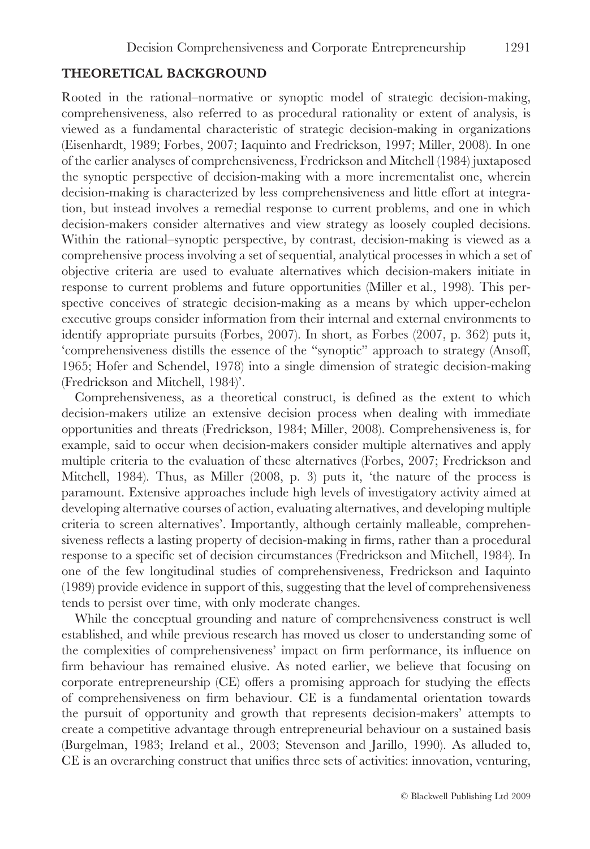## **THEORETICAL BACKGROUND**

Rooted in the rational–normative or synoptic model of strategic decision-making, comprehensiveness, also referred to as procedural rationality or extent of analysis, is viewed as a fundamental characteristic of strategic decision-making in organizations (Eisenhardt, 1989; Forbes, 2007; Iaquinto and Fredrickson, 1997; Miller, 2008). In one of the earlier analyses of comprehensiveness, Fredrickson and Mitchell (1984) juxtaposed the synoptic perspective of decision-making with a more incrementalist one, wherein decision-making is characterized by less comprehensiveness and little effort at integration, but instead involves a remedial response to current problems, and one in which decision-makers consider alternatives and view strategy as loosely coupled decisions. Within the rational–synoptic perspective, by contrast, decision-making is viewed as a comprehensive process involving a set of sequential, analytical processes in which a set of objective criteria are used to evaluate alternatives which decision-makers initiate in response to current problems and future opportunities (Miller et al., 1998). This perspective conceives of strategic decision-making as a means by which upper-echelon executive groups consider information from their internal and external environments to identify appropriate pursuits (Forbes, 2007). In short, as Forbes (2007, p. 362) puts it, 'comprehensiveness distills the essence of the "synoptic" approach to strategy (Ansoff, 1965; Hofer and Schendel, 1978) into a single dimension of strategic decision-making (Fredrickson and Mitchell, 1984)'.

Comprehensiveness, as a theoretical construct, is defined as the extent to which decision-makers utilize an extensive decision process when dealing with immediate opportunities and threats (Fredrickson, 1984; Miller, 2008). Comprehensiveness is, for example, said to occur when decision-makers consider multiple alternatives and apply multiple criteria to the evaluation of these alternatives (Forbes, 2007; Fredrickson and Mitchell, 1984). Thus, as Miller (2008, p. 3) puts it, 'the nature of the process is paramount. Extensive approaches include high levels of investigatory activity aimed at developing alternative courses of action, evaluating alternatives, and developing multiple criteria to screen alternatives'. Importantly, although certainly malleable, comprehensiveness reflects a lasting property of decision-making in firms, rather than a procedural response to a specific set of decision circumstances (Fredrickson and Mitchell, 1984). In one of the few longitudinal studies of comprehensiveness, Fredrickson and Iaquinto (1989) provide evidence in support of this, suggesting that the level of comprehensiveness tends to persist over time, with only moderate changes.

While the conceptual grounding and nature of comprehensiveness construct is well established, and while previous research has moved us closer to understanding some of the complexities of comprehensiveness' impact on firm performance, its influence on firm behaviour has remained elusive. As noted earlier, we believe that focusing on corporate entrepreneurship (CE) offers a promising approach for studying the effects of comprehensiveness on firm behaviour. CE is a fundamental orientation towards the pursuit of opportunity and growth that represents decision-makers' attempts to create a competitive advantage through entrepreneurial behaviour on a sustained basis (Burgelman, 1983; Ireland et al., 2003; Stevenson and Jarillo, 1990). As alluded to, CE is an overarching construct that unifies three sets of activities: innovation, venturing,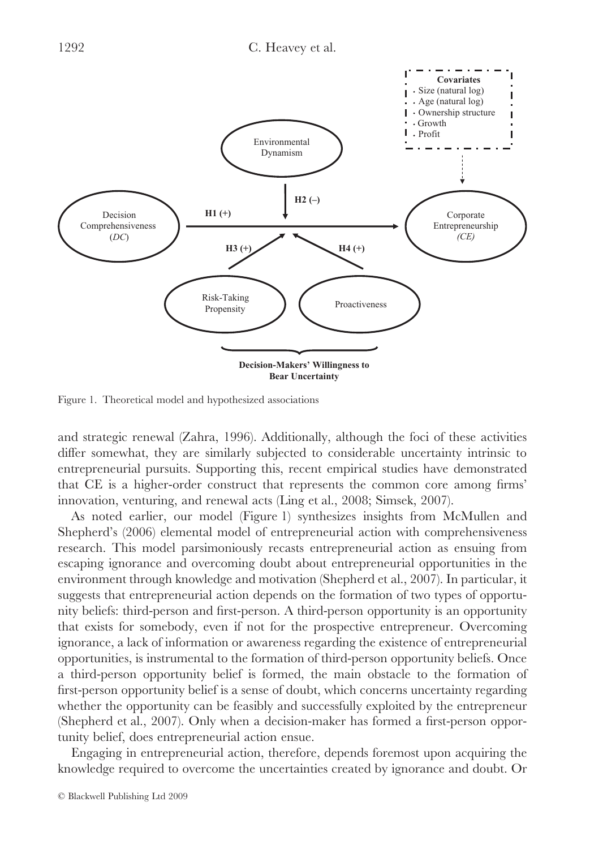

Figure 1. Theoretical model and hypothesized associations

and strategic renewal (Zahra, 1996). Additionally, although the foci of these activities differ somewhat, they are similarly subjected to considerable uncertainty intrinsic to entrepreneurial pursuits. Supporting this, recent empirical studies have demonstrated that CE is a higher-order construct that represents the common core among firms' innovation, venturing, and renewal acts (Ling et al., 2008; Simsek, 2007).

As noted earlier, our model (Figure 1) synthesizes insights from McMullen and Shepherd's (2006) elemental model of entrepreneurial action with comprehensiveness research. This model parsimoniously recasts entrepreneurial action as ensuing from escaping ignorance and overcoming doubt about entrepreneurial opportunities in the environment through knowledge and motivation (Shepherd et al., 2007). In particular, it suggests that entrepreneurial action depends on the formation of two types of opportunity beliefs: third-person and first-person. A third-person opportunity is an opportunity that exists for somebody, even if not for the prospective entrepreneur. Overcoming ignorance, a lack of information or awareness regarding the existence of entrepreneurial opportunities, is instrumental to the formation of third-person opportunity beliefs. Once a third-person opportunity belief is formed, the main obstacle to the formation of first-person opportunity belief is a sense of doubt, which concerns uncertainty regarding whether the opportunity can be feasibly and successfully exploited by the entrepreneur (Shepherd et al., 2007). Only when a decision-maker has formed a first-person opportunity belief, does entrepreneurial action ensue.

Engaging in entrepreneurial action, therefore, depends foremost upon acquiring the knowledge required to overcome the uncertainties created by ignorance and doubt. Or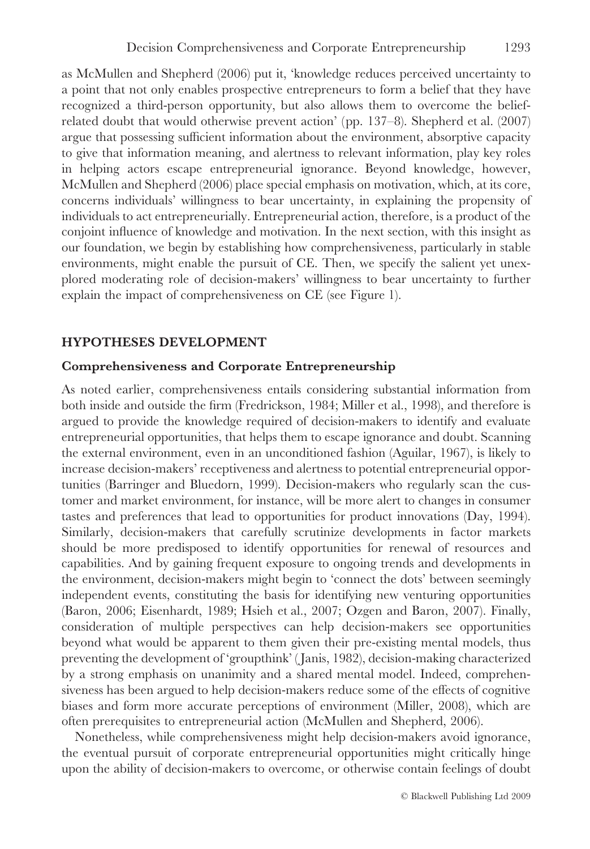as McMullen and Shepherd (2006) put it, 'knowledge reduces perceived uncertainty to a point that not only enables prospective entrepreneurs to form a belief that they have recognized a third-person opportunity, but also allows them to overcome the beliefrelated doubt that would otherwise prevent action' (pp. 137–8). Shepherd et al. (2007) argue that possessing sufficient information about the environment, absorptive capacity to give that information meaning, and alertness to relevant information, play key roles in helping actors escape entrepreneurial ignorance. Beyond knowledge, however, McMullen and Shepherd (2006) place special emphasis on motivation, which, at its core, concerns individuals' willingness to bear uncertainty, in explaining the propensity of individuals to act entrepreneurially. Entrepreneurial action, therefore, is a product of the conjoint influence of knowledge and motivation. In the next section, with this insight as our foundation, we begin by establishing how comprehensiveness, particularly in stable environments, might enable the pursuit of CE. Then, we specify the salient yet unexplored moderating role of decision-makers' willingness to bear uncertainty to further explain the impact of comprehensiveness on CE (see Figure 1).

## **HYPOTHESES DEVELOPMENT**

## **Comprehensiveness and Corporate Entrepreneurship**

As noted earlier, comprehensiveness entails considering substantial information from both inside and outside the firm (Fredrickson, 1984; Miller et al., 1998), and therefore is argued to provide the knowledge required of decision-makers to identify and evaluate entrepreneurial opportunities, that helps them to escape ignorance and doubt. Scanning the external environment, even in an unconditioned fashion (Aguilar, 1967), is likely to increase decision-makers' receptiveness and alertness to potential entrepreneurial opportunities (Barringer and Bluedorn, 1999). Decision-makers who regularly scan the customer and market environment, for instance, will be more alert to changes in consumer tastes and preferences that lead to opportunities for product innovations (Day, 1994). Similarly, decision-makers that carefully scrutinize developments in factor markets should be more predisposed to identify opportunities for renewal of resources and capabilities. And by gaining frequent exposure to ongoing trends and developments in the environment, decision-makers might begin to 'connect the dots' between seemingly independent events, constituting the basis for identifying new venturing opportunities (Baron, 2006; Eisenhardt, 1989; Hsieh et al., 2007; Ozgen and Baron, 2007). Finally, consideration of multiple perspectives can help decision-makers see opportunities beyond what would be apparent to them given their pre-existing mental models, thus preventing the development of 'groupthink' ( Janis, 1982), decision-making characterized by a strong emphasis on unanimity and a shared mental model. Indeed, comprehensiveness has been argued to help decision-makers reduce some of the effects of cognitive biases and form more accurate perceptions of environment (Miller, 2008), which are often prerequisites to entrepreneurial action (McMullen and Shepherd, 2006).

Nonetheless, while comprehensiveness might help decision-makers avoid ignorance, the eventual pursuit of corporate entrepreneurial opportunities might critically hinge upon the ability of decision-makers to overcome, or otherwise contain feelings of doubt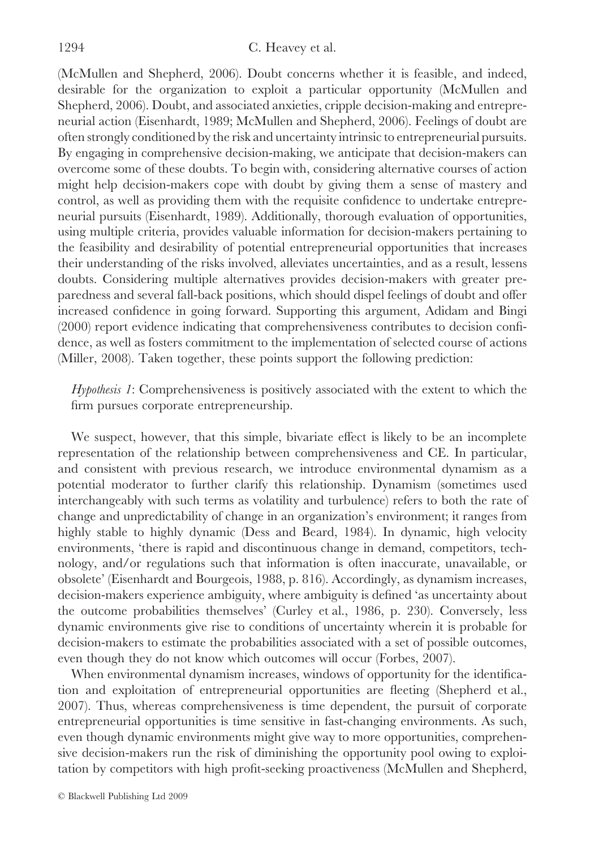(McMullen and Shepherd, 2006). Doubt concerns whether it is feasible, and indeed, desirable for the organization to exploit a particular opportunity (McMullen and Shepherd, 2006). Doubt, and associated anxieties, cripple decision-making and entrepreneurial action (Eisenhardt, 1989; McMullen and Shepherd, 2006). Feelings of doubt are often strongly conditioned by the risk and uncertainty intrinsic to entrepreneurial pursuits. By engaging in comprehensive decision-making, we anticipate that decision-makers can overcome some of these doubts. To begin with, considering alternative courses of action might help decision-makers cope with doubt by giving them a sense of mastery and control, as well as providing them with the requisite confidence to undertake entrepreneurial pursuits (Eisenhardt, 1989). Additionally, thorough evaluation of opportunities, using multiple criteria, provides valuable information for decision-makers pertaining to the feasibility and desirability of potential entrepreneurial opportunities that increases their understanding of the risks involved, alleviates uncertainties, and as a result, lessens doubts. Considering multiple alternatives provides decision-makers with greater preparedness and several fall-back positions, which should dispel feelings of doubt and offer increased confidence in going forward. Supporting this argument, Adidam and Bingi (2000) report evidence indicating that comprehensiveness contributes to decision confidence, as well as fosters commitment to the implementation of selected course of actions (Miller, 2008). Taken together, these points support the following prediction:

*Hypothesis 1*: Comprehensiveness is positively associated with the extent to which the firm pursues corporate entrepreneurship.

We suspect, however, that this simple, bivariate effect is likely to be an incomplete representation of the relationship between comprehensiveness and CE. In particular, and consistent with previous research, we introduce environmental dynamism as a potential moderator to further clarify this relationship. Dynamism (sometimes used interchangeably with such terms as volatility and turbulence) refers to both the rate of change and unpredictability of change in an organization's environment; it ranges from highly stable to highly dynamic (Dess and Beard, 1984). In dynamic, high velocity environments, 'there is rapid and discontinuous change in demand, competitors, technology, and/or regulations such that information is often inaccurate, unavailable, or obsolete' (Eisenhardt and Bourgeois, 1988, p. 816). Accordingly, as dynamism increases, decision-makers experience ambiguity, where ambiguity is defined 'as uncertainty about the outcome probabilities themselves' (Curley et al., 1986, p. 230). Conversely, less dynamic environments give rise to conditions of uncertainty wherein it is probable for decision-makers to estimate the probabilities associated with a set of possible outcomes, even though they do not know which outcomes will occur (Forbes, 2007).

When environmental dynamism increases, windows of opportunity for the identification and exploitation of entrepreneurial opportunities are fleeting (Shepherd et al., 2007). Thus, whereas comprehensiveness is time dependent, the pursuit of corporate entrepreneurial opportunities is time sensitive in fast-changing environments. As such, even though dynamic environments might give way to more opportunities, comprehensive decision-makers run the risk of diminishing the opportunity pool owing to exploitation by competitors with high profit-seeking proactiveness (McMullen and Shepherd,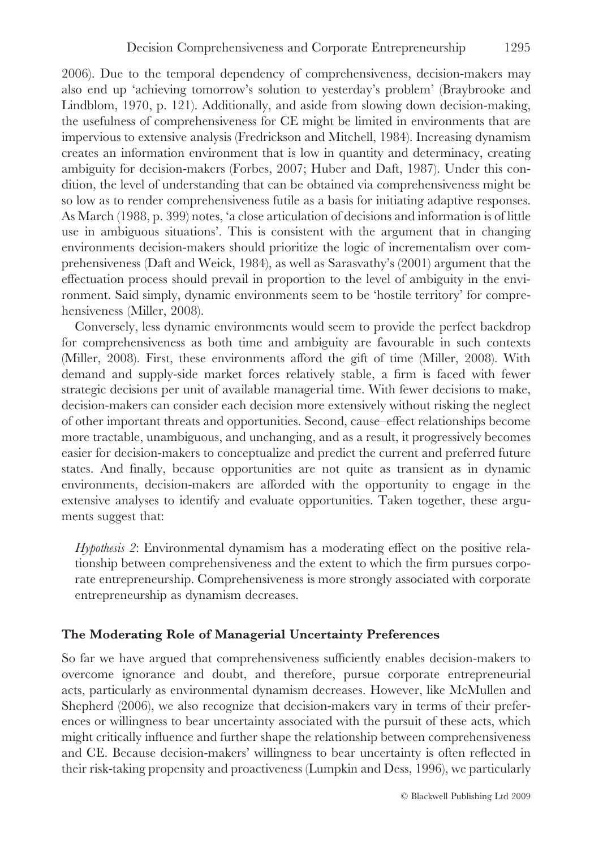2006). Due to the temporal dependency of comprehensiveness, decision-makers may also end up 'achieving tomorrow's solution to yesterday's problem' (Braybrooke and Lindblom, 1970, p. 121). Additionally, and aside from slowing down decision-making, the usefulness of comprehensiveness for CE might be limited in environments that are impervious to extensive analysis (Fredrickson and Mitchell, 1984). Increasing dynamism creates an information environment that is low in quantity and determinacy, creating ambiguity for decision-makers (Forbes, 2007; Huber and Daft, 1987). Under this condition, the level of understanding that can be obtained via comprehensiveness might be so low as to render comprehensiveness futile as a basis for initiating adaptive responses. As March (1988, p. 399) notes, 'a close articulation of decisions and information is of little use in ambiguous situations'. This is consistent with the argument that in changing environments decision-makers should prioritize the logic of incrementalism over comprehensiveness (Daft and Weick, 1984), as well as Sarasvathy's (2001) argument that the effectuation process should prevail in proportion to the level of ambiguity in the environment. Said simply, dynamic environments seem to be 'hostile territory' for comprehensiveness (Miller, 2008).

Conversely, less dynamic environments would seem to provide the perfect backdrop for comprehensiveness as both time and ambiguity are favourable in such contexts (Miller, 2008). First, these environments afford the gift of time (Miller, 2008). With demand and supply-side market forces relatively stable, a firm is faced with fewer strategic decisions per unit of available managerial time. With fewer decisions to make, decision-makers can consider each decision more extensively without risking the neglect of other important threats and opportunities. Second, cause–effect relationships become more tractable, unambiguous, and unchanging, and as a result, it progressively becomes easier for decision-makers to conceptualize and predict the current and preferred future states. And finally, because opportunities are not quite as transient as in dynamic environments, decision-makers are afforded with the opportunity to engage in the extensive analyses to identify and evaluate opportunities. Taken together, these arguments suggest that:

*Hypothesis 2*: Environmental dynamism has a moderating effect on the positive relationship between comprehensiveness and the extent to which the firm pursues corporate entrepreneurship. Comprehensiveness is more strongly associated with corporate entrepreneurship as dynamism decreases.

#### **The Moderating Role of Managerial Uncertainty Preferences**

So far we have argued that comprehensiveness sufficiently enables decision-makers to overcome ignorance and doubt, and therefore, pursue corporate entrepreneurial acts, particularly as environmental dynamism decreases. However, like McMullen and Shepherd (2006), we also recognize that decision-makers vary in terms of their preferences or willingness to bear uncertainty associated with the pursuit of these acts, which might critically influence and further shape the relationship between comprehensiveness and CE. Because decision-makers' willingness to bear uncertainty is often reflected in their risk-taking propensity and proactiveness (Lumpkin and Dess, 1996), we particularly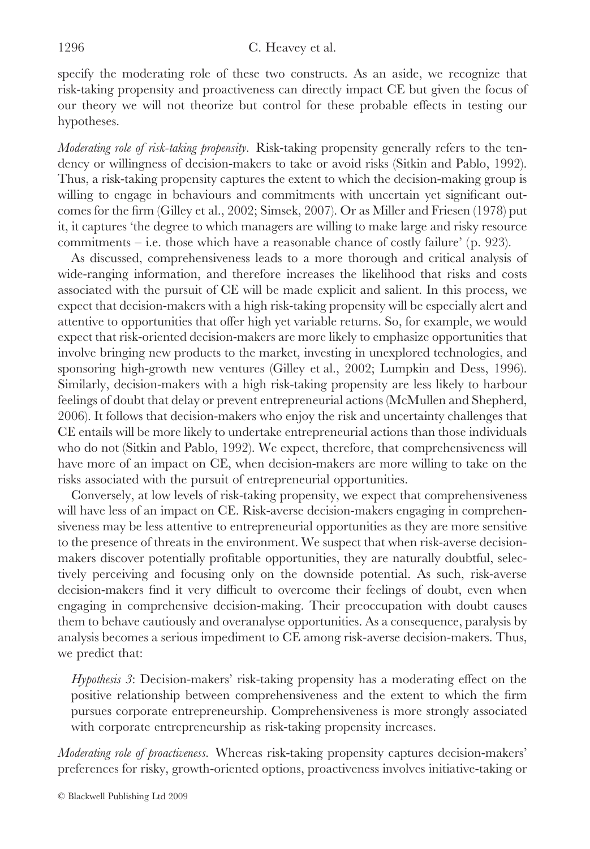specify the moderating role of these two constructs. As an aside, we recognize that risk-taking propensity and proactiveness can directly impact CE but given the focus of our theory we will not theorize but control for these probable effects in testing our hypotheses.

*Moderating role of risk-taking propensity.* Risk-taking propensity generally refers to the tendency or willingness of decision-makers to take or avoid risks (Sitkin and Pablo, 1992). Thus, a risk-taking propensity captures the extent to which the decision-making group is willing to engage in behaviours and commitments with uncertain yet significant outcomes for the firm (Gilley et al., 2002; Simsek, 2007). Or as Miller and Friesen (1978) put it, it captures 'the degree to which managers are willing to make large and risky resource commitments – i.e. those which have a reasonable chance of costly failure' (p. 923).

As discussed, comprehensiveness leads to a more thorough and critical analysis of wide-ranging information, and therefore increases the likelihood that risks and costs associated with the pursuit of CE will be made explicit and salient. In this process, we expect that decision-makers with a high risk-taking propensity will be especially alert and attentive to opportunities that offer high yet variable returns. So, for example, we would expect that risk-oriented decision-makers are more likely to emphasize opportunities that involve bringing new products to the market, investing in unexplored technologies, and sponsoring high-growth new ventures (Gilley et al., 2002; Lumpkin and Dess, 1996). Similarly, decision-makers with a high risk-taking propensity are less likely to harbour feelings of doubt that delay or prevent entrepreneurial actions (McMullen and Shepherd, 2006). It follows that decision-makers who enjoy the risk and uncertainty challenges that CE entails will be more likely to undertake entrepreneurial actions than those individuals who do not (Sitkin and Pablo, 1992). We expect, therefore, that comprehensiveness will have more of an impact on CE, when decision-makers are more willing to take on the risks associated with the pursuit of entrepreneurial opportunities.

Conversely, at low levels of risk-taking propensity, we expect that comprehensiveness will have less of an impact on CE. Risk-averse decision-makers engaging in comprehensiveness may be less attentive to entrepreneurial opportunities as they are more sensitive to the presence of threats in the environment. We suspect that when risk-averse decisionmakers discover potentially profitable opportunities, they are naturally doubtful, selectively perceiving and focusing only on the downside potential. As such, risk-averse decision-makers find it very difficult to overcome their feelings of doubt, even when engaging in comprehensive decision-making. Their preoccupation with doubt causes them to behave cautiously and overanalyse opportunities. As a consequence, paralysis by analysis becomes a serious impediment to CE among risk-averse decision-makers. Thus, we predict that:

*Hypothesis 3*: Decision-makers' risk-taking propensity has a moderating effect on the positive relationship between comprehensiveness and the extent to which the firm pursues corporate entrepreneurship. Comprehensiveness is more strongly associated with corporate entrepreneurship as risk-taking propensity increases.

*Moderating role of proactiveness.* Whereas risk-taking propensity captures decision-makers' preferences for risky, growth-oriented options, proactiveness involves initiative-taking or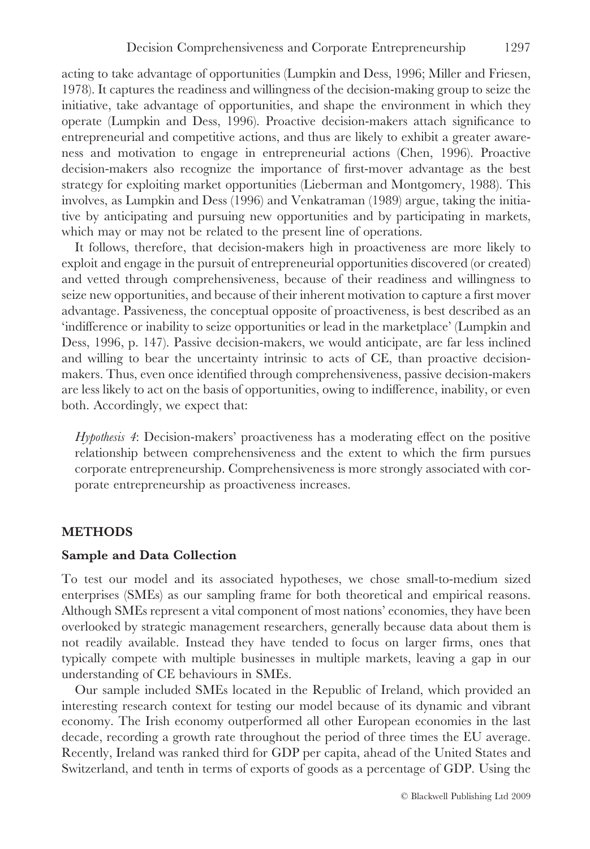acting to take advantage of opportunities (Lumpkin and Dess, 1996; Miller and Friesen, 1978). It captures the readiness and willingness of the decision-making group to seize the initiative, take advantage of opportunities, and shape the environment in which they operate (Lumpkin and Dess, 1996). Proactive decision-makers attach significance to entrepreneurial and competitive actions, and thus are likely to exhibit a greater awareness and motivation to engage in entrepreneurial actions (Chen, 1996). Proactive decision-makers also recognize the importance of first-mover advantage as the best strategy for exploiting market opportunities (Lieberman and Montgomery, 1988). This involves, as Lumpkin and Dess (1996) and Venkatraman (1989) argue, taking the initiative by anticipating and pursuing new opportunities and by participating in markets, which may or may not be related to the present line of operations.

It follows, therefore, that decision-makers high in proactiveness are more likely to exploit and engage in the pursuit of entrepreneurial opportunities discovered (or created) and vetted through comprehensiveness, because of their readiness and willingness to seize new opportunities, and because of their inherent motivation to capture a first mover advantage. Passiveness, the conceptual opposite of proactiveness, is best described as an 'indifference or inability to seize opportunities or lead in the marketplace' (Lumpkin and Dess, 1996, p. 147). Passive decision-makers, we would anticipate, are far less inclined and willing to bear the uncertainty intrinsic to acts of CE, than proactive decisionmakers. Thus, even once identified through comprehensiveness, passive decision-makers are less likely to act on the basis of opportunities, owing to indifference, inability, or even both. Accordingly, we expect that:

*Hypothesis 4*: Decision-makers' proactiveness has a moderating effect on the positive relationship between comprehensiveness and the extent to which the firm pursues corporate entrepreneurship. Comprehensiveness is more strongly associated with corporate entrepreneurship as proactiveness increases.

## **METHODS**

#### **Sample and Data Collection**

To test our model and its associated hypotheses, we chose small-to-medium sized enterprises (SMEs) as our sampling frame for both theoretical and empirical reasons. Although SMEs represent a vital component of most nations' economies, they have been overlooked by strategic management researchers, generally because data about them is not readily available. Instead they have tended to focus on larger firms, ones that typically compete with multiple businesses in multiple markets, leaving a gap in our understanding of CE behaviours in SMEs.

Our sample included SMEs located in the Republic of Ireland, which provided an interesting research context for testing our model because of its dynamic and vibrant economy. The Irish economy outperformed all other European economies in the last decade, recording a growth rate throughout the period of three times the EU average. Recently, Ireland was ranked third for GDP per capita, ahead of the United States and Switzerland, and tenth in terms of exports of goods as a percentage of GDP. Using the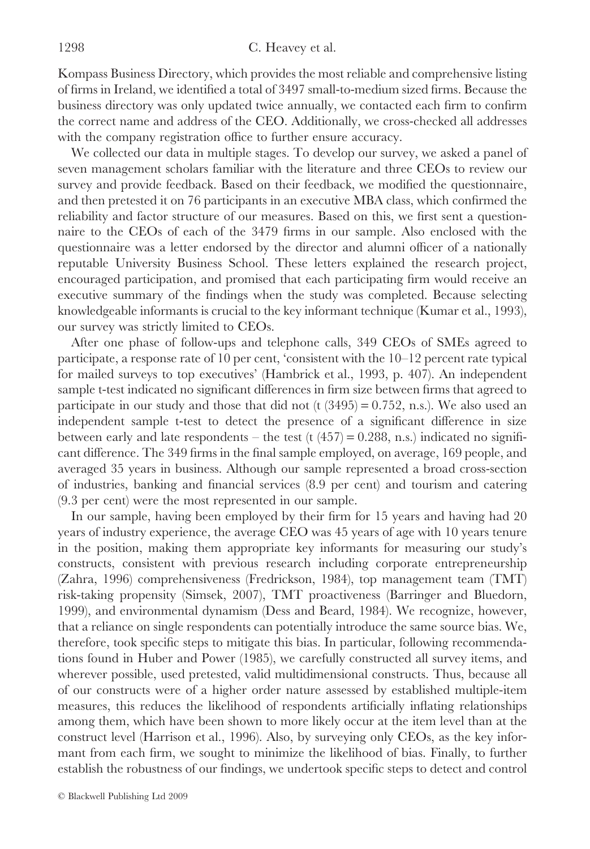Kompass Business Directory, which provides the most reliable and comprehensive listing of firms in Ireland, we identified a total of 3497 small-to-medium sized firms. Because the business directory was only updated twice annually, we contacted each firm to confirm the correct name and address of the CEO. Additionally, we cross-checked all addresses with the company registration office to further ensure accuracy.

We collected our data in multiple stages. To develop our survey, we asked a panel of seven management scholars familiar with the literature and three CEOs to review our survey and provide feedback. Based on their feedback, we modified the questionnaire, and then pretested it on 76 participants in an executive MBA class, which confirmed the reliability and factor structure of our measures. Based on this, we first sent a questionnaire to the CEOs of each of the 3479 firms in our sample. Also enclosed with the questionnaire was a letter endorsed by the director and alumni officer of a nationally reputable University Business School. These letters explained the research project, encouraged participation, and promised that each participating firm would receive an executive summary of the findings when the study was completed. Because selecting knowledgeable informants is crucial to the key informant technique (Kumar et al., 1993), our survey was strictly limited to CEOs.

After one phase of follow-ups and telephone calls, 349 CEOs of SMEs agreed to participate, a response rate of 10 per cent, 'consistent with the 10–12 percent rate typical for mailed surveys to top executives' (Hambrick et al., 1993, p. 407). An independent sample t-test indicated no significant differences in firm size between firms that agreed to participate in our study and those that did not  $(t (3495) = 0.752, n.s.)$ . We also used an independent sample t-test to detect the presence of a significant difference in size between early and late respondents – the test (t  $(457) = 0.288$ , n.s.) indicated no significant difference. The 349 firms in the final sample employed, on average, 169 people, and averaged 35 years in business. Although our sample represented a broad cross-section of industries, banking and financial services (8.9 per cent) and tourism and catering (9.3 per cent) were the most represented in our sample.

In our sample, having been employed by their firm for 15 years and having had 20 years of industry experience, the average CEO was 45 years of age with 10 years tenure in the position, making them appropriate key informants for measuring our study's constructs, consistent with previous research including corporate entrepreneurship (Zahra, 1996) comprehensiveness (Fredrickson, 1984), top management team (TMT) risk-taking propensity (Simsek, 2007), TMT proactiveness (Barringer and Bluedorn, 1999), and environmental dynamism (Dess and Beard, 1984). We recognize, however, that a reliance on single respondents can potentially introduce the same source bias. We, therefore, took specific steps to mitigate this bias. In particular, following recommendations found in Huber and Power (1985), we carefully constructed all survey items, and wherever possible, used pretested, valid multidimensional constructs. Thus, because all of our constructs were of a higher order nature assessed by established multiple-item measures, this reduces the likelihood of respondents artificially inflating relationships among them, which have been shown to more likely occur at the item level than at the construct level (Harrison et al., 1996). Also, by surveying only CEOs, as the key informant from each firm, we sought to minimize the likelihood of bias. Finally, to further establish the robustness of our findings, we undertook specific steps to detect and control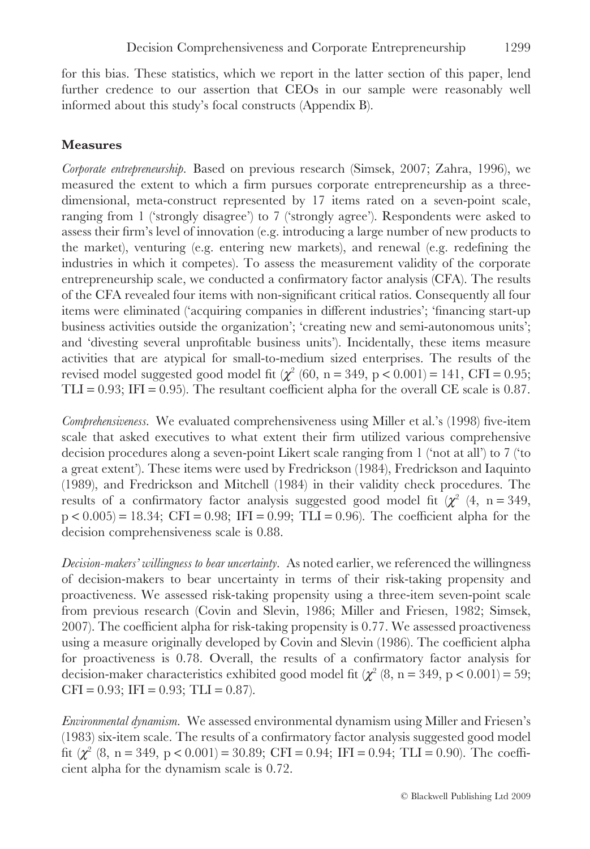for this bias. These statistics, which we report in the latter section of this paper, lend further credence to our assertion that CEOs in our sample were reasonably well informed about this study's focal constructs (Appendix B).

#### **Measures**

*Corporate entrepreneurship.* Based on previous research (Simsek, 2007; Zahra, 1996), we measured the extent to which a firm pursues corporate entrepreneurship as a threedimensional, meta-construct represented by 17 items rated on a seven-point scale, ranging from 1 ('strongly disagree') to 7 ('strongly agree'). Respondents were asked to assess their firm's level of innovation (e.g. introducing a large number of new products to the market), venturing (e.g. entering new markets), and renewal (e.g. redefining the industries in which it competes). To assess the measurement validity of the corporate entrepreneurship scale, we conducted a confirmatory factor analysis (CFA). The results of the CFA revealed four items with non-significant critical ratios. Consequently all four items were eliminated ('acquiring companies in different industries'; 'financing start-up business activities outside the organization'; 'creating new and semi-autonomous units'; and 'divesting several unprofitable business units'). Incidentally, these items measure activities that are atypical for small-to-medium sized enterprises. The results of the revised model suggested good model fit  $(\chi^2 (60, n = 349, p < 0.001) = 141, CFI = 0.95;$  $TLI = 0.93$ ; IFI = 0.95). The resultant coefficient alpha for the overall CE scale is 0.87.

*Comprehensiveness.* We evaluated comprehensiveness using Miller et al.'s (1998) five-item scale that asked executives to what extent their firm utilized various comprehensive decision procedures along a seven-point Likert scale ranging from 1 ('not at all') to 7 ('to a great extent'). These items were used by Fredrickson (1984), Fredrickson and Iaquinto (1989), and Fredrickson and Mitchell (1984) in their validity check procedures. The results of a confirmatory factor analysis suggested good model fit  $(\chi^2 \, (4, n = 349,$  $p < 0.005$  = 18.34; CFI = 0.98; IFI = 0.99; TLI = 0.96). The coefficient alpha for the decision comprehensiveness scale is 0.88.

*Decision-makers' willingness to bear uncertainty.* As noted earlier, we referenced the willingness of decision-makers to bear uncertainty in terms of their risk-taking propensity and proactiveness. We assessed risk-taking propensity using a three-item seven-point scale from previous research (Covin and Slevin, 1986; Miller and Friesen, 1982; Simsek, 2007). The coefficient alpha for risk-taking propensity is 0.77. We assessed proactiveness using a measure originally developed by Covin and Slevin (1986). The coefficient alpha for proactiveness is 0.78. Overall, the results of a confirmatory factor analysis for decision-maker characteristics exhibited good model fit ( $\chi^2$  (8, n = 349, p < 0.001) = 59;  $CFI = 0.93$ ;  $IFI = 0.93$ ;  $TLI = 0.87$ ).

*Environmental dynamism.* We assessed environmental dynamism using Miller and Friesen's (1983) six-item scale. The results of a confirmatory factor analysis suggested good model fit  $(\chi^2$  (8, n = 349, p < 0.001) = 30.89; CFI = 0.94; IFI = 0.94; TLI = 0.90). The coefficient alpha for the dynamism scale is 0.72.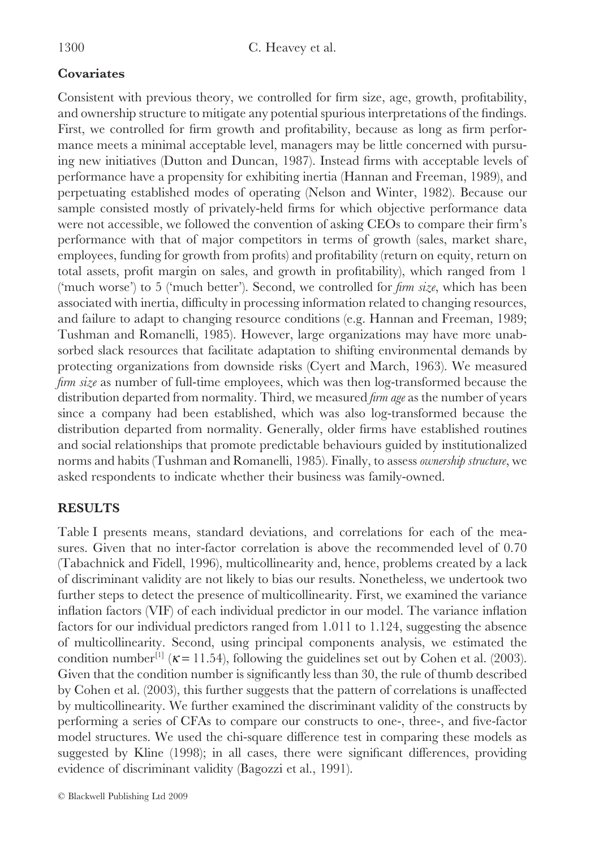## **Covariates**

Consistent with previous theory, we controlled for firm size, age, growth, profitability, and ownership structure to mitigate any potential spurious interpretations of the findings. First, we controlled for firm growth and profitability, because as long as firm performance meets a minimal acceptable level, managers may be little concerned with pursuing new initiatives (Dutton and Duncan, 1987). Instead firms with acceptable levels of performance have a propensity for exhibiting inertia (Hannan and Freeman, 1989), and perpetuating established modes of operating (Nelson and Winter, 1982). Because our sample consisted mostly of privately-held firms for which objective performance data were not accessible, we followed the convention of asking CEOs to compare their firm's performance with that of major competitors in terms of growth (sales, market share, employees, funding for growth from profits) and profitability (return on equity, return on total assets, profit margin on sales, and growth in profitability), which ranged from 1 ('much worse') to 5 ('much better'). Second, we controlled for *firm size*, which has been associated with inertia, difficulty in processing information related to changing resources, and failure to adapt to changing resource conditions (e.g. Hannan and Freeman, 1989; Tushman and Romanelli, 1985). However, large organizations may have more unabsorbed slack resources that facilitate adaptation to shifting environmental demands by protecting organizations from downside risks (Cyert and March, 1963). We measured *firm size* as number of full-time employees, which was then log-transformed because the distribution departed from normality. Third, we measured *firm age* as the number of years since a company had been established, which was also log-transformed because the distribution departed from normality. Generally, older firms have established routines and social relationships that promote predictable behaviours guided by institutionalized norms and habits (Tushman and Romanelli, 1985). Finally, to assess *ownership structure*, we asked respondents to indicate whether their business was family-owned.

## **RESULTS**

Table I presents means, standard deviations, and correlations for each of the measures. Given that no inter-factor correlation is above the recommended level of 0.70 (Tabachnick and Fidell, 1996), multicollinearity and, hence, problems created by a lack of discriminant validity are not likely to bias our results. Nonetheless, we undertook two further steps to detect the presence of multicollinearity. First, we examined the variance inflation factors (VIF) of each individual predictor in our model. The variance inflation factors for our individual predictors ranged from 1.011 to 1.124, suggesting the absence of multicollinearity. Second, using principal components analysis, we estimated the condition number<sup>[1]</sup> ( $\kappa$  = 11.54), following the guidelines set out by Cohen et al. (2003). Given that the condition number is significantly less than 30, the rule of thumb described by Cohen et al. (2003), this further suggests that the pattern of correlations is unaffected by multicollinearity. We further examined the discriminant validity of the constructs by performing a series of CFAs to compare our constructs to one-, three-, and five-factor model structures. We used the chi-square difference test in comparing these models as suggested by Kline (1998); in all cases, there were significant differences, providing evidence of discriminant validity (Bagozzi et al., 1991).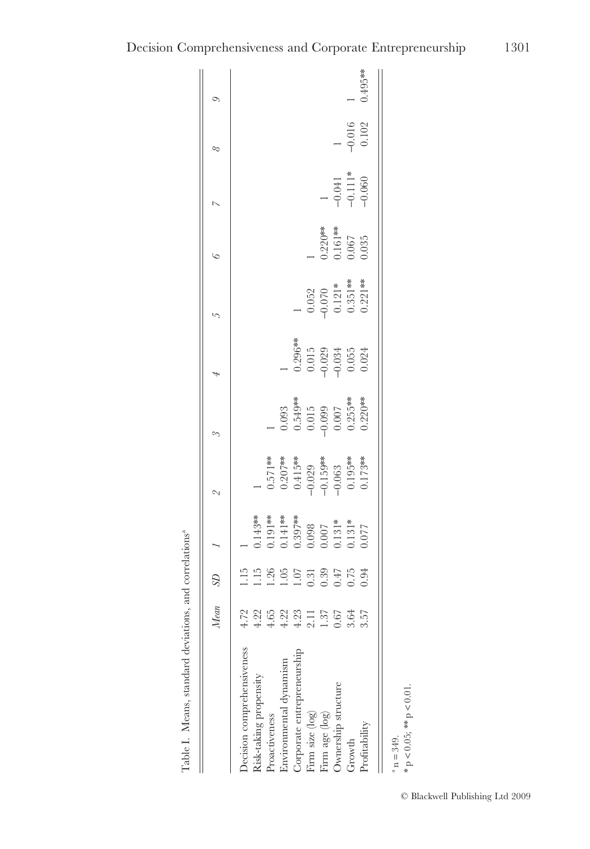|                                                                                                                                                                                                                             | Mean                                                                         |                                                                                                                                                    |                                                                                                                                                                                                                                                                                     |                                                                     |                                                               |                                                                                                             |                                                                 | Ċ                              |                                   |                                                     |         |
|-----------------------------------------------------------------------------------------------------------------------------------------------------------------------------------------------------------------------------|------------------------------------------------------------------------------|----------------------------------------------------------------------------------------------------------------------------------------------------|-------------------------------------------------------------------------------------------------------------------------------------------------------------------------------------------------------------------------------------------------------------------------------------|---------------------------------------------------------------------|---------------------------------------------------------------|-------------------------------------------------------------------------------------------------------------|-----------------------------------------------------------------|--------------------------------|-----------------------------------|-----------------------------------------------------|---------|
| <b>Decision</b> comprehensiveness<br>Corporate entrepreneurship<br>Environmental dynamism<br>Risk-taking propensity<br>Ownership structure<br>Firm size (log)<br>Firm age (log)<br>Proactiveness<br>Profitability<br>Growth | 4.72<br>4.22<br>4.65<br>4.22<br>4.23<br>2.11<br>1.87<br>0.67<br>3.64<br>3.57 | $\frac{1}{1.31}$<br>$\frac{3}{3}$<br>$\frac{3}{4}$<br>$\frac{5}{1.5}$<br>$\frac{5}{4}$<br>$\frac{3}{4}$<br>$\frac{3}{4}$<br>1.26<br>$\frac{50}{1}$ | $\begin{array}{l} 0.143\text{*} \\\ {2.191\text{*}}\text{*}}\n 0.191\text{*} \\\n 0.141\text{*} \\\n 0.397\text{*} \\\n 0.0000\text{}}\n 0.007\text{ }\n 0.001\text{*} \\\n 0.0000\text{}}\n 0.0131\text{*} \\\n 0.0131\text{*} \\\n 0.001\text{*} \\\n 0.001\text{}}\n\end{array}$ | 1<br>0.571**<br>0.207**<br>0.207**<br>0.159**<br>0.195**<br>0.173** | 1<br>0.093<br>0.549**<br>0.015<br>0.007<br>0.255**<br>0.220** | $\begin{array}{c} 1 \\ 0.296\text{*} \\ 0.015 \\ 0.015 \\ -0.029 \\ 0.055 \\ 0.054 \\ 0.054 \\ \end{array}$ | 1<br>$0.052$<br>$-0.070$<br>$0.121**$<br>$0.351**$<br>$0.251**$ | $0.220***$<br>0.161**<br>0.067 | $-0.041$<br>$-0.111*$<br>$-0.060$ | $\begin{array}{c} 1 \\ -0.016 \\ 0.102 \end{array}$ | 0.495** |
| * $p < 0.05$ ; ** $p < 0.01$ .<br>$n = 349.$                                                                                                                                                                                |                                                                              |                                                                                                                                                    |                                                                                                                                                                                                                                                                                     |                                                                     |                                                               |                                                                                                             |                                                                 |                                |                                   |                                                     |         |

Table I. Means, standard deviations, and correlations<sup>ª</sup> Table I. Means, standard deviations, and correlations<sup>a</sup>

© Blackwell Publishing Ltd 2009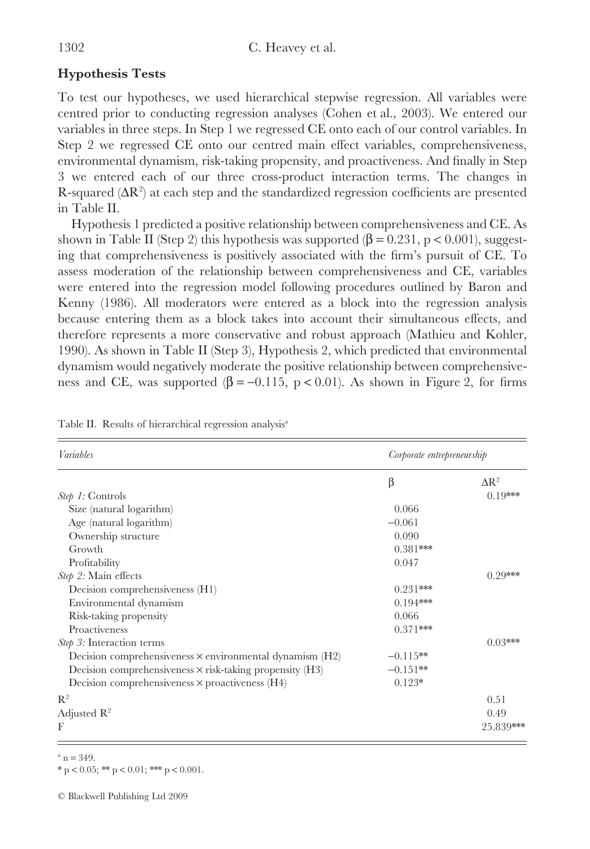## **Hypothesis Tests**

To test our hypotheses, we used hierarchical stepwise regression. All variables were centred prior to conducting regression analyses (Cohen et al., 2003). We entered our variables in three steps. In Step 1 we regressed CE onto each of our control variables. In Step 2 we regressed CE onto our centred main effect variables, comprehensiveness, environmental dynamism, risk-taking propensity, and proactiveness. And finally in Step 3 we entered each of our three cross-product interaction terms. The changes in R-squared ( $\Delta R^2$ ) at each step and the standardized regression coefficients are presented in Table II.

Hypothesis 1 predicted a positive relationship between comprehensiveness and CE. As shown in Table II (Step 2) this hypothesis was supported  $(\beta = 0.231, p < 0.001)$ , suggesting that comprehensiveness is positively associated with the firm's pursuit of CE. To assess moderation of the relationship between comprehensiveness and CE, variables were entered into the regression model following procedures outlined by Baron and Kenny (1986). All moderators were entered as a block into the regression analysis because entering them as a block takes into account their simultaneous effects, and therefore represents a more conservative and robust approach (Mathieu and Kohler, 1990). As shown in Table II (Step 3), Hypothesis 2, which predicted that environmental dynamism would negatively moderate the positive relationship between comprehensiveness and CE, was supported  $(\beta = -0.115, p < 0.01)$ . As shown in Figure 2, for firms

| <b>Variables</b>                                                | Corporate entrepreneurship |                         |  |
|-----------------------------------------------------------------|----------------------------|-------------------------|--|
|                                                                 | β                          | $\Delta$ R <sup>2</sup> |  |
| <i>Step 1:</i> Controls                                         |                            | $0.19***$               |  |
| Size (natural logarithm)                                        | 0.066                      |                         |  |
| Age (natural logarithm)                                         | $-0.061$                   |                         |  |
| Ownership structure                                             | 0.090                      |                         |  |
| Growth                                                          | $0.381***$                 |                         |  |
| Profitability                                                   | 0.047                      |                         |  |
| Step 2: Main effects                                            |                            | $0.29***$               |  |
| Decision comprehensiveness (H1)                                 | $0.231***$                 |                         |  |
| Environmental dynamism                                          | $0.194***$                 |                         |  |
| Risk-taking propensity                                          | 0.066                      |                         |  |
| Proactiveness                                                   | $0.371***$                 |                         |  |
| Step 3: Interaction terms                                       |                            | $0.03***$               |  |
| Decision comprehensiveness $\times$ environmental dynamism (H2) | $-0.115**$                 |                         |  |
| Decision comprehensiveness $\times$ risk-taking propensity (H3) | $-0.151**$                 |                         |  |
| Decision comprehensiveness $\times$ proactiveness (H4)          | $0.123*$                   |                         |  |
| $\mathbb{R}^2$                                                  |                            | 0.51                    |  |
| Adjusted $\mathbb{R}^2$                                         |                            | 0.49                    |  |
| F                                                               |                            | 25.839***               |  |

Table II. Results of hierarchical regression analysis<sup>a</sup>

 $a_n = 349$ .

\* p < 0.05; \*\* p < 0.01; \*\*\* p < 0.001.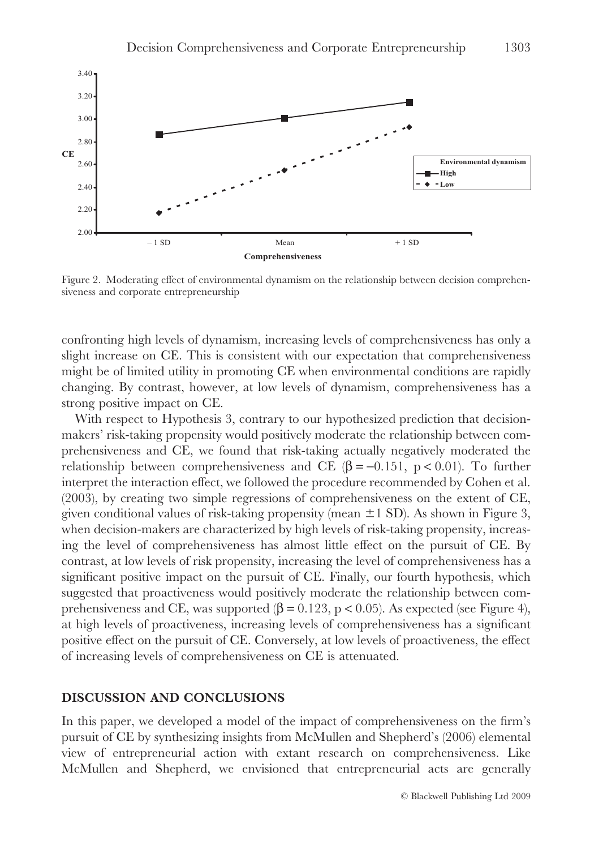

Figure 2. Moderating effect of environmental dynamism on the relationship between decision comprehensiveness and corporate entrepreneurship

confronting high levels of dynamism, increasing levels of comprehensiveness has only a slight increase on CE. This is consistent with our expectation that comprehensiveness might be of limited utility in promoting CE when environmental conditions are rapidly changing. By contrast, however, at low levels of dynamism, comprehensiveness has a strong positive impact on CE.

With respect to Hypothesis 3, contrary to our hypothesized prediction that decisionmakers' risk-taking propensity would positively moderate the relationship between comprehensiveness and CE, we found that risk-taking actually negatively moderated the relationship between comprehensiveness and CE ( $\beta = -0.151$ , p < 0.01). To further interpret the interaction effect, we followed the procedure recommended by Cohen et al. (2003), by creating two simple regressions of comprehensiveness on the extent of CE, given conditional values of risk-taking propensity (mean  $\pm 1$  SD). As shown in Figure 3, when decision-makers are characterized by high levels of risk-taking propensity, increasing the level of comprehensiveness has almost little effect on the pursuit of CE. By contrast, at low levels of risk propensity, increasing the level of comprehensiveness has a significant positive impact on the pursuit of CE. Finally, our fourth hypothesis, which suggested that proactiveness would positively moderate the relationship between comprehensiveness and CE, was supported  $(\beta = 0.123, p < 0.05)$ . As expected (see Figure 4), at high levels of proactiveness, increasing levels of comprehensiveness has a significant positive effect on the pursuit of CE. Conversely, at low levels of proactiveness, the effect of increasing levels of comprehensiveness on CE is attenuated.

## **DISCUSSION AND CONCLUSIONS**

In this paper, we developed a model of the impact of comprehensiveness on the firm's pursuit of CE by synthesizing insights from McMullen and Shepherd's (2006) elemental view of entrepreneurial action with extant research on comprehensiveness. Like McMullen and Shepherd, we envisioned that entrepreneurial acts are generally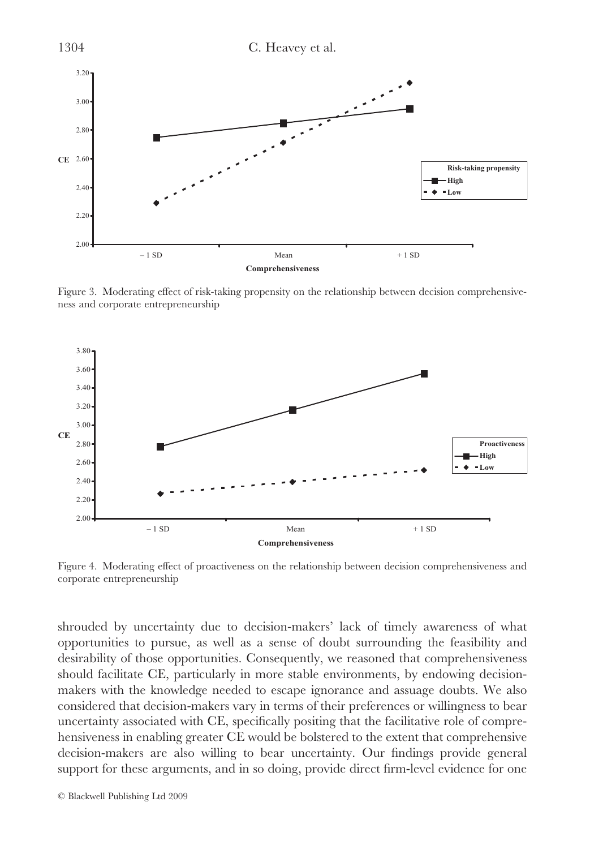Figure 3. Moderating effect of risk-taking propensity on the relationship between decision comprehensiveness and corporate entrepreneurship



Figure 4. Moderating effect of proactiveness on the relationship between decision comprehensiveness and corporate entrepreneurship

shrouded by uncertainty due to decision-makers' lack of timely awareness of what opportunities to pursue, as well as a sense of doubt surrounding the feasibility and desirability of those opportunities. Consequently, we reasoned that comprehensiveness should facilitate CE, particularly in more stable environments, by endowing decisionmakers with the knowledge needed to escape ignorance and assuage doubts. We also considered that decision-makers vary in terms of their preferences or willingness to bear uncertainty associated with CE, specifically positing that the facilitative role of comprehensiveness in enabling greater CE would be bolstered to the extent that comprehensive decision-makers are also willing to bear uncertainty. Our findings provide general support for these arguments, and in so doing, provide direct firm-level evidence for one

© Blackwell Publishing Ltd 2009

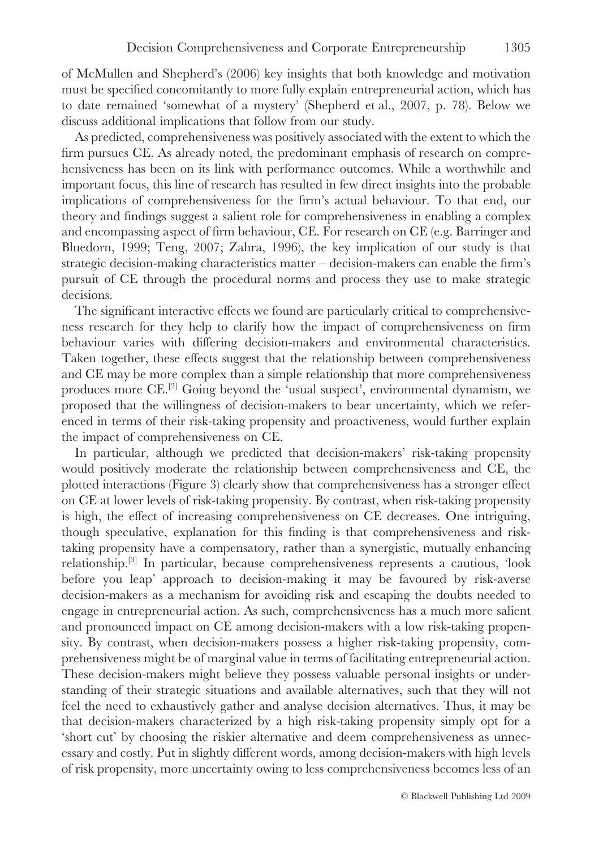of McMullen and Shepherd's (2006) key insights that both knowledge and motivation must be specified concomitantly to more fully explain entrepreneurial action, which has to date remained 'somewhat of a mystery' (Shepherd et al., 2007, p. 78). Below we discuss additional implications that follow from our study.

As predicted, comprehensiveness was positively associated with the extent to which the firm pursues CE. As already noted, the predominant emphasis of research on comprehensiveness has been on its link with performance outcomes. While a worthwhile and important focus, this line of research has resulted in few direct insights into the probable implications of comprehensiveness for the firm's actual behaviour. To that end, our theory and findings suggest a salient role for comprehensiveness in enabling a complex and encompassing aspect of firm behaviour, CE. For research on CE (e.g. Barringer and Bluedorn, 1999; Teng, 2007; Zahra, 1996), the key implication of our study is that strategic decision-making characteristics matter – decision-makers can enable the firm's pursuit of CE through the procedural norms and process they use to make strategic decisions.

The significant interactive effects we found are particularly critical to comprehensiveness research for they help to clarify how the impact of comprehensiveness on firm behaviour varies with differing decision-makers and environmental characteristics. Taken together, these effects suggest that the relationship between comprehensiveness and CE may be more complex than a simple relationship that more comprehensiveness produces more CE.[2] Going beyond the 'usual suspect', environmental dynamism, we proposed that the willingness of decision-makers to bear uncertainty, which we referenced in terms of their risk-taking propensity and proactiveness, would further explain the impact of comprehensiveness on CE.

In particular, although we predicted that decision-makers' risk-taking propensity would positively moderate the relationship between comprehensiveness and CE, the plotted interactions (Figure 3) clearly show that comprehensiveness has a stronger effect on CE at lower levels of risk-taking propensity. By contrast, when risk-taking propensity is high, the effect of increasing comprehensiveness on CE decreases. One intriguing, though speculative, explanation for this finding is that comprehensiveness and risktaking propensity have a compensatory, rather than a synergistic, mutually enhancing relationship.[3] In particular, because comprehensiveness represents a cautious, 'look before you leap' approach to decision-making it may be favoured by risk-averse decision-makers as a mechanism for avoiding risk and escaping the doubts needed to engage in entrepreneurial action. As such, comprehensiveness has a much more salient and pronounced impact on CE among decision-makers with a low risk-taking propensity. By contrast, when decision-makers possess a higher risk-taking propensity, comprehensiveness might be of marginal value in terms of facilitating entrepreneurial action. These decision-makers might believe they possess valuable personal insights or understanding of their strategic situations and available alternatives, such that they will not feel the need to exhaustively gather and analyse decision alternatives. Thus, it may be that decision-makers characterized by a high risk-taking propensity simply opt for a 'short cut' by choosing the riskier alternative and deem comprehensiveness as unnecessary and costly. Put in slightly different words, among decision-makers with high levels of risk propensity, more uncertainty owing to less comprehensiveness becomes less of an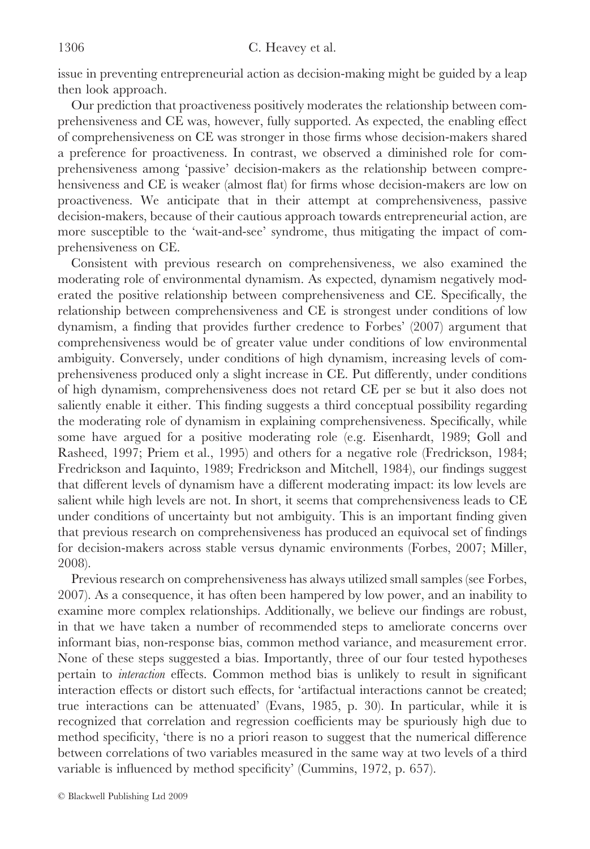issue in preventing entrepreneurial action as decision-making might be guided by a leap then look approach.

Our prediction that proactiveness positively moderates the relationship between comprehensiveness and CE was, however, fully supported. As expected, the enabling effect of comprehensiveness on CE was stronger in those firms whose decision-makers shared a preference for proactiveness. In contrast, we observed a diminished role for comprehensiveness among 'passive' decision-makers as the relationship between comprehensiveness and CE is weaker (almost flat) for firms whose decision-makers are low on proactiveness. We anticipate that in their attempt at comprehensiveness, passive decision-makers, because of their cautious approach towards entrepreneurial action, are more susceptible to the 'wait-and-see' syndrome, thus mitigating the impact of comprehensiveness on CE.

Consistent with previous research on comprehensiveness, we also examined the moderating role of environmental dynamism. As expected, dynamism negatively moderated the positive relationship between comprehensiveness and CE. Specifically, the relationship between comprehensiveness and CE is strongest under conditions of low dynamism, a finding that provides further credence to Forbes' (2007) argument that comprehensiveness would be of greater value under conditions of low environmental ambiguity. Conversely, under conditions of high dynamism, increasing levels of comprehensiveness produced only a slight increase in CE. Put differently, under conditions of high dynamism, comprehensiveness does not retard CE per se but it also does not saliently enable it either. This finding suggests a third conceptual possibility regarding the moderating role of dynamism in explaining comprehensiveness. Specifically, while some have argued for a positive moderating role (e.g. Eisenhardt, 1989; Goll and Rasheed, 1997; Priem et al., 1995) and others for a negative role (Fredrickson, 1984; Fredrickson and Iaquinto, 1989; Fredrickson and Mitchell, 1984), our findings suggest that different levels of dynamism have a different moderating impact: its low levels are salient while high levels are not. In short, it seems that comprehensiveness leads to CE under conditions of uncertainty but not ambiguity. This is an important finding given that previous research on comprehensiveness has produced an equivocal set of findings for decision-makers across stable versus dynamic environments (Forbes, 2007; Miller, 2008).

Previous research on comprehensiveness has always utilized small samples (see Forbes, 2007). As a consequence, it has often been hampered by low power, and an inability to examine more complex relationships. Additionally, we believe our findings are robust, in that we have taken a number of recommended steps to ameliorate concerns over informant bias, non-response bias, common method variance, and measurement error. None of these steps suggested a bias. Importantly, three of our four tested hypotheses pertain to *interaction* effects. Common method bias is unlikely to result in significant interaction effects or distort such effects, for 'artifactual interactions cannot be created; true interactions can be attenuated' (Evans, 1985, p. 30). In particular, while it is recognized that correlation and regression coefficients may be spuriously high due to method specificity, 'there is no a priori reason to suggest that the numerical difference between correlations of two variables measured in the same way at two levels of a third variable is influenced by method specificity' (Cummins, 1972, p. 657).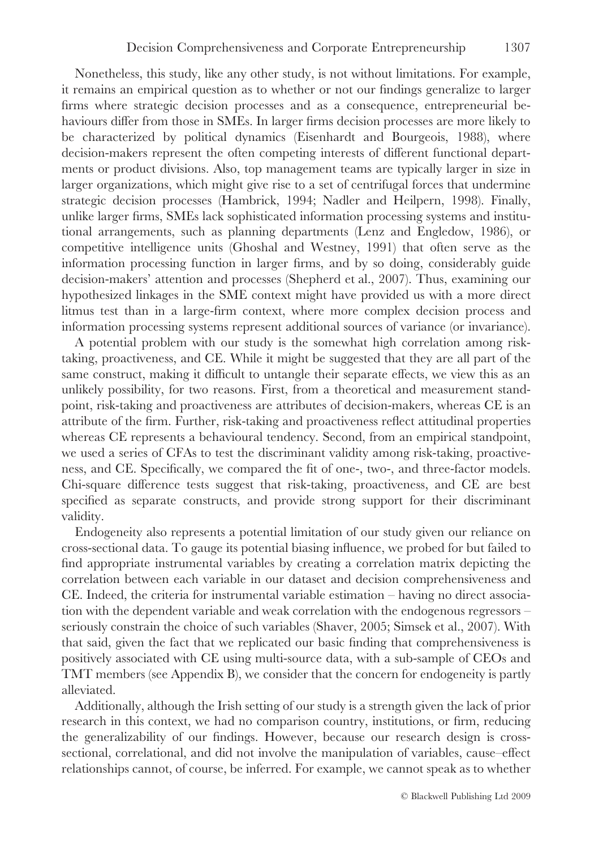Nonetheless, this study, like any other study, is not without limitations. For example, it remains an empirical question as to whether or not our findings generalize to larger firms where strategic decision processes and as a consequence, entrepreneurial behaviours differ from those in SMEs. In larger firms decision processes are more likely to be characterized by political dynamics (Eisenhardt and Bourgeois, 1988), where decision-makers represent the often competing interests of different functional departments or product divisions. Also, top management teams are typically larger in size in larger organizations, which might give rise to a set of centrifugal forces that undermine strategic decision processes (Hambrick, 1994; Nadler and Heilpern, 1998). Finally, unlike larger firms, SMEs lack sophisticated information processing systems and institutional arrangements, such as planning departments (Lenz and Engledow, 1986), or competitive intelligence units (Ghoshal and Westney, 1991) that often serve as the information processing function in larger firms, and by so doing, considerably guide decision-makers' attention and processes (Shepherd et al., 2007). Thus, examining our hypothesized linkages in the SME context might have provided us with a more direct litmus test than in a large-firm context, where more complex decision process and information processing systems represent additional sources of variance (or invariance).

A potential problem with our study is the somewhat high correlation among risktaking, proactiveness, and CE. While it might be suggested that they are all part of the same construct, making it difficult to untangle their separate effects, we view this as an unlikely possibility, for two reasons. First, from a theoretical and measurement standpoint, risk-taking and proactiveness are attributes of decision-makers, whereas CE is an attribute of the firm. Further, risk-taking and proactiveness reflect attitudinal properties whereas CE represents a behavioural tendency. Second, from an empirical standpoint, we used a series of CFAs to test the discriminant validity among risk-taking, proactiveness, and CE. Specifically, we compared the fit of one-, two-, and three-factor models. Chi-square difference tests suggest that risk-taking, proactiveness, and CE are best specified as separate constructs, and provide strong support for their discriminant validity.

Endogeneity also represents a potential limitation of our study given our reliance on cross-sectional data. To gauge its potential biasing influence, we probed for but failed to find appropriate instrumental variables by creating a correlation matrix depicting the correlation between each variable in our dataset and decision comprehensiveness and CE. Indeed, the criteria for instrumental variable estimation – having no direct association with the dependent variable and weak correlation with the endogenous regressors – seriously constrain the choice of such variables (Shaver, 2005; Simsek et al., 2007). With that said, given the fact that we replicated our basic finding that comprehensiveness is positively associated with CE using multi-source data, with a sub-sample of CEOs and TMT members (see Appendix B), we consider that the concern for endogeneity is partly alleviated.

Additionally, although the Irish setting of our study is a strength given the lack of prior research in this context, we had no comparison country, institutions, or firm, reducing the generalizability of our findings. However, because our research design is crosssectional, correlational, and did not involve the manipulation of variables, cause–effect relationships cannot, of course, be inferred. For example, we cannot speak as to whether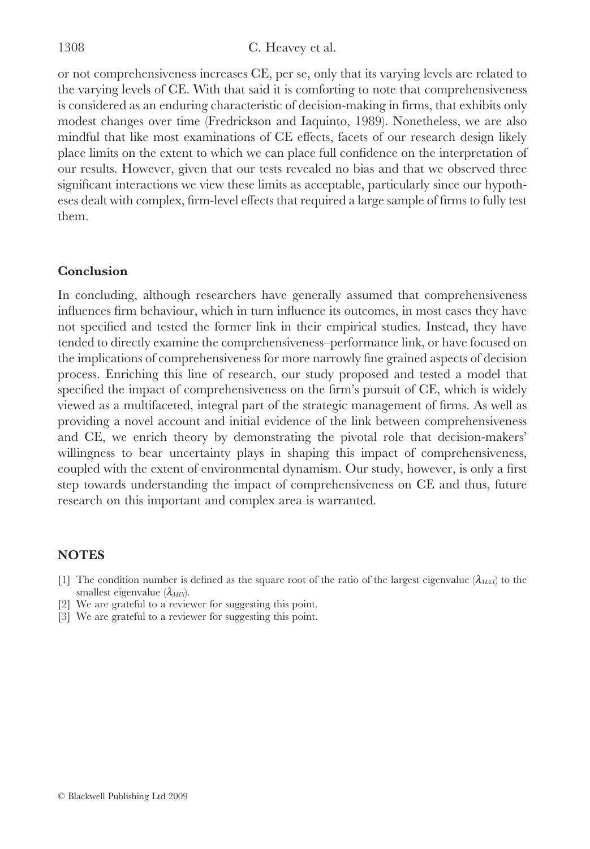or not comprehensiveness increases CE, per se, only that its varying levels are related to the varying levels of CE. With that said it is comforting to note that comprehensiveness is considered as an enduring characteristic of decision-making in firms, that exhibits only modest changes over time (Fredrickson and Iaquinto, 1989). Nonetheless, we are also mindful that like most examinations of CE effects, facets of our research design likely place limits on the extent to which we can place full confidence on the interpretation of our results. However, given that our tests revealed no bias and that we observed three significant interactions we view these limits as acceptable, particularly since our hypotheses dealt with complex, firm-level effects that required a large sample of firms to fully test them.

## **Conclusion**

In concluding, although researchers have generally assumed that comprehensiveness influences firm behaviour, which in turn influence its outcomes, in most cases they have not specified and tested the former link in their empirical studies. Instead, they have tended to directly examine the comprehensiveness–performance link, or have focused on the implications of comprehensiveness for more narrowly fine grained aspects of decision process. Enriching this line of research, our study proposed and tested a model that specified the impact of comprehensiveness on the firm's pursuit of CE, which is widely viewed as a multifaceted, integral part of the strategic management of firms. As well as providing a novel account and initial evidence of the link between comprehensiveness and CE, we enrich theory by demonstrating the pivotal role that decision-makers' willingness to bear uncertainty plays in shaping this impact of comprehensiveness, coupled with the extent of environmental dynamism. Our study, however, is only a first step towards understanding the impact of comprehensiveness on CE and thus, future research on this important and complex area is warranted.

#### **NOTES**

- [1] The condition number is defined as the square root of the ratio of the largest eigenvalue ( $\lambda_{MAX}$ ) to the smallest eigenvalue  $(\lambda_{MIN})$ .
- [2] We are grateful to a reviewer for suggesting this point.
- [3] We are grateful to a reviewer for suggesting this point.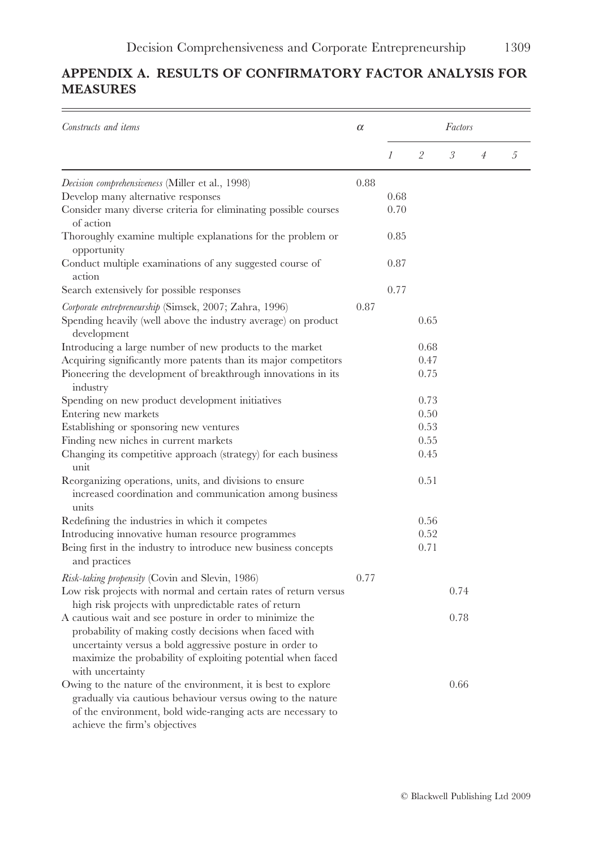## **APPENDIX A. RESULTS OF CONFIRMATORY FACTOR ANALYSIS FOR MEASURES**

| Constructs and items                                                                                                                                                                                                         | Factors |      |                |      |                |   |
|------------------------------------------------------------------------------------------------------------------------------------------------------------------------------------------------------------------------------|---------|------|----------------|------|----------------|---|
|                                                                                                                                                                                                                              |         | 1    | $\overline{2}$ | 3    | $\overline{4}$ | 5 |
| <i>Decision comprehensiveness</i> (Miller et al., 1998)                                                                                                                                                                      | 0.88    |      |                |      |                |   |
| Develop many alternative responses                                                                                                                                                                                           |         | 0.68 |                |      |                |   |
| Consider many diverse criteria for eliminating possible courses<br>of action                                                                                                                                                 |         | 0.70 |                |      |                |   |
| Thoroughly examine multiple explanations for the problem or<br>opportunity                                                                                                                                                   |         | 0.85 |                |      |                |   |
| Conduct multiple examinations of any suggested course of<br>action                                                                                                                                                           |         | 0.87 |                |      |                |   |
| Search extensively for possible responses                                                                                                                                                                                    |         | 0.77 |                |      |                |   |
| <i>Corporate entrepreneurship</i> (Simsek, 2007; Zahra, 1996)                                                                                                                                                                | 0.87    |      |                |      |                |   |
| Spending heavily (well above the industry average) on product<br>development                                                                                                                                                 |         |      | 0.65           |      |                |   |
| Introducing a large number of new products to the market                                                                                                                                                                     |         |      | 0.68           |      |                |   |
| Acquiring significantly more patents than its major competitors                                                                                                                                                              |         |      | 0.47           |      |                |   |
| Pioneering the development of breakthrough innovations in its<br>industry                                                                                                                                                    |         |      | 0.75           |      |                |   |
| Spending on new product development initiatives                                                                                                                                                                              |         |      | 0.73           |      |                |   |
| Entering new markets                                                                                                                                                                                                         |         |      | 0.50           |      |                |   |
| Establishing or sponsoring new ventures                                                                                                                                                                                      |         |      | 0.53           |      |                |   |
| Finding new niches in current markets                                                                                                                                                                                        |         |      | 0.55           |      |                |   |
| Changing its competitive approach (strategy) for each business<br>unit                                                                                                                                                       |         |      | 0.45           |      |                |   |
| Reorganizing operations, units, and divisions to ensure<br>increased coordination and communication among business<br>units                                                                                                  |         |      | 0.51           |      |                |   |
| Redefining the industries in which it competes                                                                                                                                                                               |         |      | 0.56           |      |                |   |
| Introducing innovative human resource programmes                                                                                                                                                                             |         |      | 0.52           |      |                |   |
| Being first in the industry to introduce new business concepts<br>and practices                                                                                                                                              |         |      | 0.71           |      |                |   |
| Risk-taking propensity (Covin and Slevin, 1986)                                                                                                                                                                              | 0.77    |      |                |      |                |   |
| Low risk projects with normal and certain rates of return versus<br>high risk projects with unpredictable rates of return                                                                                                    |         |      |                | 0.74 |                |   |
| A cautious wait and see posture in order to minimize the<br>probability of making costly decisions when faced with                                                                                                           |         |      |                | 0.78 |                |   |
| uncertainty versus a bold aggressive posture in order to<br>maximize the probability of exploiting potential when faced<br>with uncertainty                                                                                  |         |      |                |      |                |   |
| Owing to the nature of the environment, it is best to explore<br>gradually via cautious behaviour versus owing to the nature<br>of the environment, bold wide-ranging acts are necessary to<br>achieve the firm's objectives |         |      |                | 0.66 |                |   |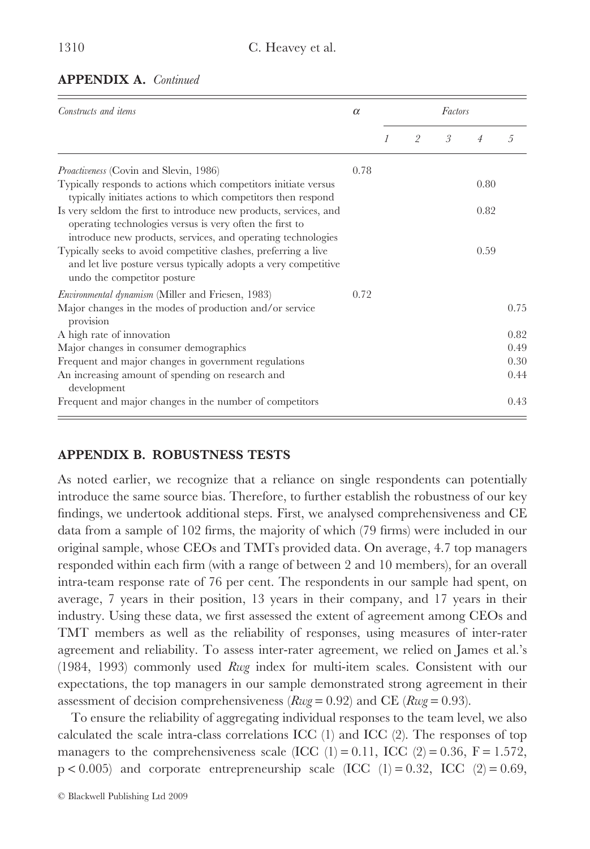## **APPENDIX A.** *Continued*

| Constructs and <i>items</i>                                                                                                                                                                   | $\alpha$ | Factors        |                |   |                |      |  |
|-----------------------------------------------------------------------------------------------------------------------------------------------------------------------------------------------|----------|----------------|----------------|---|----------------|------|--|
|                                                                                                                                                                                               |          | $\overline{I}$ | $\overline{2}$ | 3 | $\overline{4}$ | 5    |  |
| <i>Proactiveness</i> (Covin and Slevin, 1986)                                                                                                                                                 | 0.78     |                |                |   |                |      |  |
| Typically responds to actions which competitors initiate versus<br>typically initiates actions to which competitors then respond                                                              |          |                |                |   | 0.80           |      |  |
| Is very seldom the first to introduce new products, services, and<br>operating technologies versus is very often the first to<br>introduce new products, services, and operating technologies |          |                |                |   | 0.82           |      |  |
| Typically seeks to avoid competitive clashes, preferring a live<br>and let live posture versus typically adopts a very competitive<br>undo the competitor posture                             |          |                |                |   | 0.59           |      |  |
| <i>Environmental dynamism</i> (Miller and Friesen, 1983)                                                                                                                                      | 0.72     |                |                |   |                |      |  |
| Major changes in the modes of production and/or service<br>provision                                                                                                                          |          |                |                |   |                | 0.75 |  |
| A high rate of innovation                                                                                                                                                                     |          |                |                |   |                | 0.82 |  |
| Major changes in consumer demographics                                                                                                                                                        |          |                |                |   |                | 0.49 |  |
| Frequent and major changes in government regulations                                                                                                                                          |          |                |                |   |                | 0.30 |  |
| An increasing amount of spending on research and<br>development                                                                                                                               |          |                |                |   |                | 0.44 |  |
| Frequent and major changes in the number of competitors                                                                                                                                       |          |                |                |   |                | 0.43 |  |

## **APPENDIX B. ROBUSTNESS TESTS**

As noted earlier, we recognize that a reliance on single respondents can potentially introduce the same source bias. Therefore, to further establish the robustness of our key findings, we undertook additional steps. First, we analysed comprehensiveness and CE data from a sample of 102 firms, the majority of which (79 firms) were included in our original sample, whose CEOs and TMTs provided data. On average, 4.7 top managers responded within each firm (with a range of between 2 and 10 members), for an overall intra-team response rate of 76 per cent. The respondents in our sample had spent, on average, 7 years in their position, 13 years in their company, and 17 years in their industry. Using these data, we first assessed the extent of agreement among CEOs and TMT members as well as the reliability of responses, using measures of inter-rater agreement and reliability. To assess inter-rater agreement, we relied on James et al.'s (1984, 1993) commonly used *Rwg* index for multi-item scales. Consistent with our expectations, the top managers in our sample demonstrated strong agreement in their assessment of decision comprehensiveness (*Rwg* = 0.92) and CE (*Rwg* = 0.93).

To ensure the reliability of aggregating individual responses to the team level, we also calculated the scale intra-class correlations ICC (1) and ICC (2). The responses of top managers to the comprehensiveness scale (ICC  $(1) = 0.11$ , ICC  $(2) = 0.36$ , F = 1.572,  $p < 0.005$ ) and corporate entrepreneurship scale (ICC (1) = 0.32, ICC (2) = 0.69,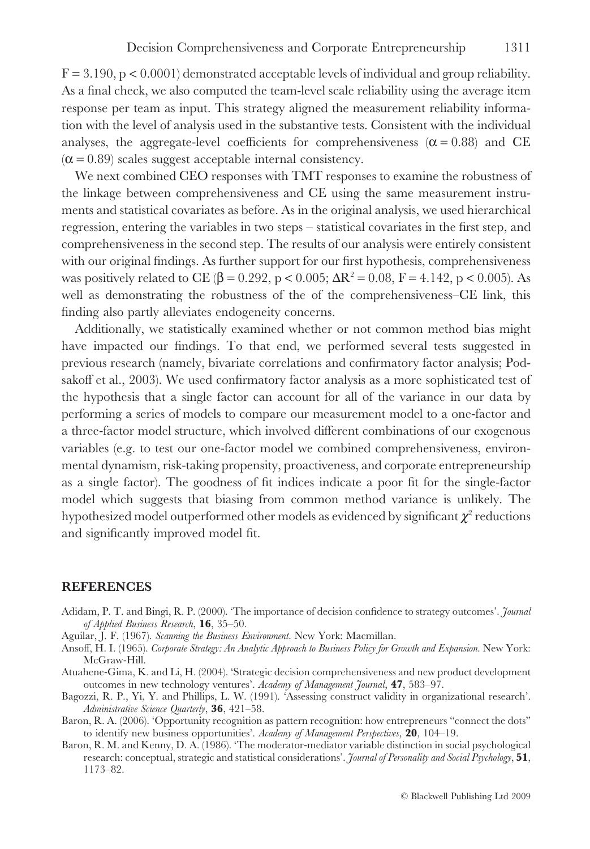$F = 3.190$ ,  $p < 0.0001$ ) demonstrated acceptable levels of individual and group reliability. As a final check, we also computed the team-level scale reliability using the average item response per team as input. This strategy aligned the measurement reliability information with the level of analysis used in the substantive tests. Consistent with the individual analyses, the aggregate-level coefficients for comprehensiveness ( $\alpha$  = 0.88) and CE  $(\alpha = 0.89)$  scales suggest acceptable internal consistency.

We next combined CEO responses with TMT responses to examine the robustness of the linkage between comprehensiveness and CE using the same measurement instruments and statistical covariates as before. As in the original analysis, we used hierarchical regression, entering the variables in two steps – statistical covariates in the first step, and comprehensiveness in the second step. The results of our analysis were entirely consistent with our original findings. As further support for our first hypothesis, comprehensiveness was positively related to CE  $(\beta = 0.292, p < 0.005; \Delta R^2 = 0.08, F = 4.142, p < 0.005)$ . As well as demonstrating the robustness of the of the comprehensiveness–CE link, this finding also partly alleviates endogeneity concerns.

Additionally, we statistically examined whether or not common method bias might have impacted our findings. To that end, we performed several tests suggested in previous research (namely, bivariate correlations and confirmatory factor analysis; Podsakoff et al., 2003). We used confirmatory factor analysis as a more sophisticated test of the hypothesis that a single factor can account for all of the variance in our data by performing a series of models to compare our measurement model to a one-factor and a three-factor model structure, which involved different combinations of our exogenous variables (e.g. to test our one-factor model we combined comprehensiveness, environmental dynamism, risk-taking propensity, proactiveness, and corporate entrepreneurship as a single factor). The goodness of fit indices indicate a poor fit for the single-factor model which suggests that biasing from common method variance is unlikely. The hypothesized model outperformed other models as evidenced by significant  $\chi^2$  reductions and significantly improved model fit.

#### **REFERENCES**

- Adidam, P. T. and Bingi, R. P. (2000). 'The importance of decision confidence to strategy outcomes'. *Journal of Applied Business Research*, **16**, 35–50.
- Aguilar, J. F. (1967). *Scanning the Business Environment*. New York: Macmillan.
- Ansoff, H. I. (1965). *Corporate Strategy: An Analytic Approach to Business Policy for Growth and Expansion*. New York: McGraw-Hill.
- Atuahene-Gima, K. and Li, H. (2004). 'Strategic decision comprehensiveness and new product development outcomes in new technology ventures'. *Academy of Management Journal*, **47**, 583–97.
- Bagozzi, R. P., Yi, Y. and Phillips, L. W. (1991). 'Assessing construct validity in organizational research'. *Administrative Science Quarterly*, **36**, 421–58.
- Baron, R. A. (2006). 'Opportunity recognition as pattern recognition: how entrepreneurs "connect the dots" to identify new business opportunities'. *Academy of Management Perspectives*, **20**, 104–19.
- Baron, R. M. and Kenny, D. A. (1986). 'The moderator-mediator variable distinction in social psychological research: conceptual, strategic and statistical considerations'. *Journal of Personality and Social Psychology*, **51**, 1173–82.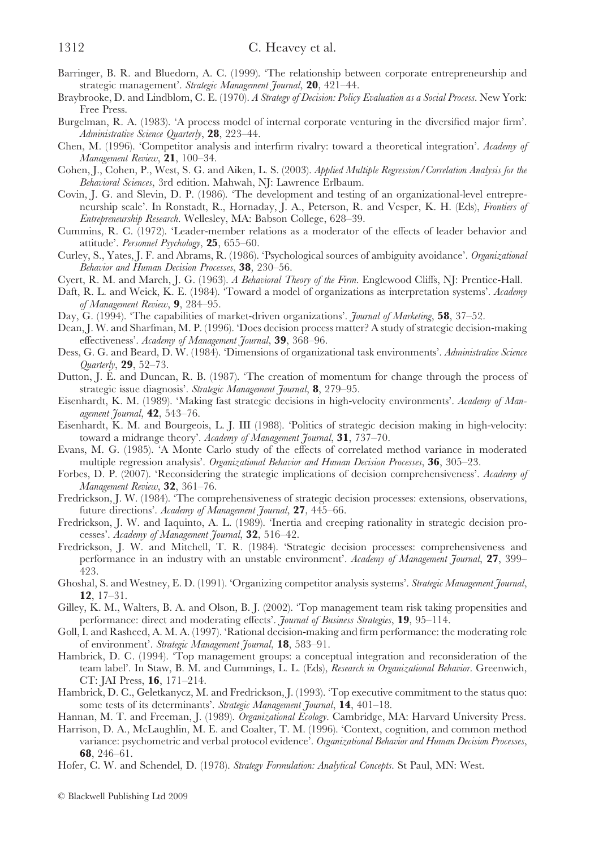- Barringer, B. R. and Bluedorn, A. C. (1999). 'The relationship between corporate entrepreneurship and strategic management'. *Strategic Management Journal*, **20**, 421–44.
- Braybrooke, D. and Lindblom, C. E. (1970). *A Strategy of Decision: Policy Evaluation as a Social Process*. New York: Free Press.
- Burgelman, R. A. (1983). 'A process model of internal corporate venturing in the diversified major firm'. *Administrative Science Quarterly*, **28**, 223–44.
- Chen, M. (1996). 'Competitor analysis and interfirm rivalry: toward a theoretical integration'. *Academy of Management Review*, **21**, 100–34.
- Cohen, J., Cohen, P., West, S. G. and Aiken, L. S. (2003). *Applied Multiple Regression/Correlation Analysis for the Behavioral Sciences*, 3rd edition. Mahwah, NJ: Lawrence Erlbaum.
- Covin, J. G. and Slevin, D. P. (1986). 'The development and testing of an organizational-level entrepreneurship scale'. In Ronstadt, R., Hornaday, J. A., Peterson, R. and Vesper, K. H. (Eds), *Frontiers of Entrepreneurship Research*. Wellesley, MA: Babson College, 628–39.
- Cummins, R. C. (1972). 'Leader-member relations as a moderator of the effects of leader behavior and attitude'. *Personnel Psychology*, **25**, 655–60.
- Curley, S., Yates, J. F. and Abrams, R. (1986). 'Psychological sources of ambiguity avoidance'. *Organizational Behavior and Human Decision Processes*, **38**, 230–56.
- Cyert, R. M. and March, J. G. (1963). *A Behavioral Theory of the Firm*. Englewood Cliffs, NJ: Prentice-Hall.
- Daft, R. L. and Weick, K. E. (1984). 'Toward a model of organizations as interpretation systems'. *Academy of Management Review*, **9**, 284–95.
- Day, G. (1994). 'The capabilities of market-driven organizations'. *Journal of Marketing*, **58**, 37–52.
- Dean, J. W. and Sharfman, M. P. (1996). 'Does decision process matter? A study of strategic decision-making effectiveness'. *Academy of Management Journal*, **39**, 368–96.
- Dess, G. G. and Beard, D. W. (1984). 'Dimensions of organizational task environments'. *Administrative Science Quarterly*, **29**, 52–73.
- Dutton, J. E. and Duncan, R. B. (1987). 'The creation of momentum for change through the process of strategic issue diagnosis'. *Strategic Management Journal*, **8**, 279–95.
- Eisenhardt, K. M. (1989). 'Making fast strategic decisions in high-velocity environments'. *Academy of Management Journal*, **42**, 543–76.
- Eisenhardt, K. M. and Bourgeois, L. J. III (1988). 'Politics of strategic decision making in high-velocity: toward a midrange theory'. *Academy of Management Journal*, **31**, 737–70.
- Evans, M. G. (1985). 'A Monte Carlo study of the effects of correlated method variance in moderated multiple regression analysis'. *Organizational Behavior and Human Decision Processes*, **36**, 305–23.
- Forbes, D. P. (2007). 'Reconsidering the strategic implications of decision comprehensiveness'. *Academy of Management Review*, **32**, 361–76.
- Fredrickson, J. W. (1984). 'The comprehensiveness of strategic decision processes: extensions, observations, future directions'. *Academy of Management Journal*, **27**, 445–66.
- Fredrickson, J. W. and Iaquinto, A. L. (1989). 'Inertia and creeping rationality in strategic decision processes'. *Academy of Management Journal*, **32**, 516–42.
- Fredrickson, J. W. and Mitchell, T. R. (1984). 'Strategic decision processes: comprehensiveness and performance in an industry with an unstable environment'. *Academy of Management Journal*, **27**, 399– 423.
- Ghoshal, S. and Westney, E. D. (1991). 'Organizing competitor analysis systems'. *Strategic Management Journal*, **12**, 17–31.
- Gilley, K. M., Walters, B. A. and Olson, B. J. (2002). 'Top management team risk taking propensities and performance: direct and moderating effects'. *Journal of Business Strategies*, **19**, 95–114.
- Goll, I. and Rasheed, A. M. A. (1997). 'Rational decision-making and firm performance: the moderating role of environment'. *Strategic Management Journal*, **18**, 583–91.
- Hambrick, D. C. (1994). 'Top management groups: a conceptual integration and reconsideration of the team label'. In Staw, B. M. and Cummings, L. L. (Eds), *Research in Organizational Behavior*. Greenwich, CT: JAI Press, **16**, 171–214.
- Hambrick, D. C., Geletkanycz, M. and Fredrickson, J. (1993). 'Top executive commitment to the status quo: some tests of its determinants'. *Strategic Management Journal*, **14**, 401–18.
- Hannan, M. T. and Freeman, J. (1989). *Organizational Ecology*. Cambridge, MA: Harvard University Press.
- Harrison, D. A., McLaughlin, M. E. and Coalter, T. M. (1996). 'Context, cognition, and common method variance: psychometric and verbal protocol evidence'. *Organizational Behavior and Human Decision Processes*, **68**, 246–61.
- Hofer, C. W. and Schendel, D. (1978). *Strategy Formulation: Analytical Concepts*. St Paul, MN: West.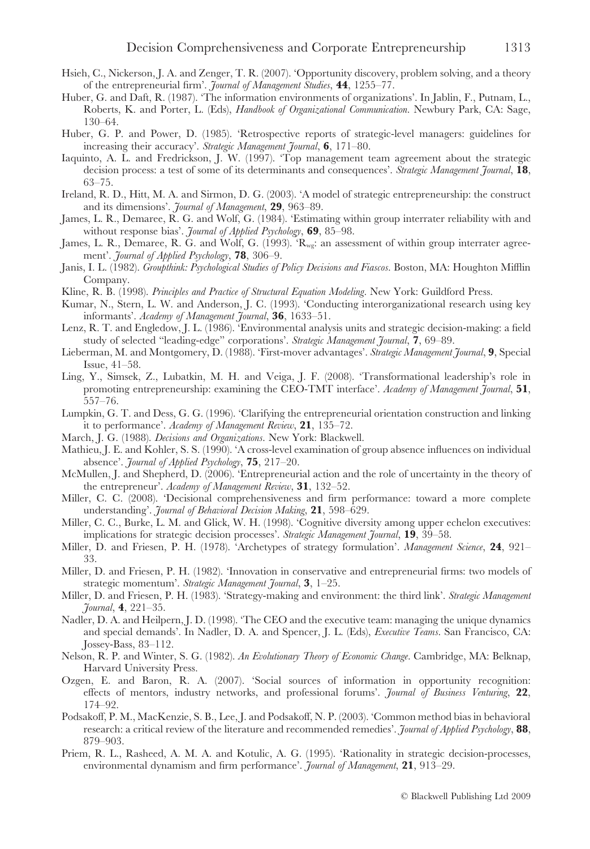- Hsieh, C., Nickerson, J. A. and Zenger, T. R. (2007). 'Opportunity discovery, problem solving, and a theory of the entrepreneurial firm'. *Journal of Management Studies*, **44**, 1255–77.
- Huber, G. and Daft, R. (1987). 'The information environments of organizations'. In Jablin, F., Putnam, L., Roberts, K. and Porter, L. (Eds), *Handbook of Organizational Communication*. Newbury Park, CA: Sage, 130–64.
- Huber, G. P. and Power, D. (1985). 'Retrospective reports of strategic-level managers: guidelines for increasing their accuracy'. *Strategic Management Journal*, **6**, 171–80.
- Iaquinto, A. L. and Fredrickson, J. W. (1997). 'Top management team agreement about the strategic decision process: a test of some of its determinants and consequences'. *Strategic Management Journal*, **18**, 63–75.
- Ireland, R. D., Hitt, M. A. and Sirmon, D. G. (2003). 'A model of strategic entrepreneurship: the construct and its dimensions'. *Journal of Management*, **29**, 963–89.
- James, L. R., Demaree, R. G. and Wolf, G. (1984). 'Estimating within group interrater reliability with and without response bias'. *Journal of Applied Psychology*, **69**, 85–98.
- James, L. R., Demaree, R. G. and Wolf, G. (1993). 'Rwg: an assessment of within group interrater agreement'. *Journal of Applied Psychology*, **78**, 306–9.
- Janis, I. L. (1982). *Groupthink: Psychological Studies of Policy Decisions and Fiascos*. Boston, MA: Houghton Mifflin Company.
- Kline, R. B. (1998). *Principles and Practice of Structural Equation Modeling*. New York: Guildford Press.
- Kumar, N., Stern, L. W. and Anderson, J. C. (1993). 'Conducting interorganizational research using key informants'. *Academy of Management Journal*, **36**, 1633–51.
- Lenz, R. T. and Engledow, J. L. (1986). 'Environmental analysis units and strategic decision-making: a field study of selected "leading-edge" corporations'. *Strategic Management Journal*, **7**, 69–89.
- Lieberman, M. and Montgomery, D. (1988). 'First-mover advantages'. *Strategic Management Journal*, **9**, Special Issue, 41–58.
- Ling, Y., Simsek, Z., Lubatkin, M. H. and Veiga, J. F. (2008). 'Transformational leadership's role in promoting entrepreneurship: examining the CEO-TMT interface'. *Academy of Management Journal*, **51**, 557–76.
- Lumpkin, G. T. and Dess, G. G. (1996). 'Clarifying the entrepreneurial orientation construction and linking it to performance'. *Academy of Management Review*, **21**, 135–72.
- March, J. G. (1988). *Decisions and Organizations*. New York: Blackwell.
- Mathieu, J. E. and Kohler, S. S. (1990). 'A cross-level examination of group absence influences on individual absence'. *Journal of Applied Psychology*, **75**, 217–20.
- McMullen, J. and Shepherd, D. (2006). 'Entrepreneurial action and the role of uncertainty in the theory of the entrepreneur'. *Academy of Management Review*, **31**, 132–52.
- Miller, C. C. (2008). 'Decisional comprehensiveness and firm performance: toward a more complete understanding'. *Journal of Behavioral Decision Making*, **21**, 598–629.
- Miller, C. C., Burke, L. M. and Glick, W. H. (1998). 'Cognitive diversity among upper echelon executives: implications for strategic decision processes'. *Strategic Management Journal*, **19**, 39–58.
- Miller, D. and Friesen, P. H. (1978). 'Archetypes of strategy formulation'. *Management Science*, **24**, 921– 33.
- Miller, D. and Friesen, P. H. (1982). 'Innovation in conservative and entrepreneurial firms: two models of strategic momentum'. *Strategic Management Journal*, **3**, 1–25.
- Miller, D. and Friesen, P. H. (1983). 'Strategy-making and environment: the third link'. *Strategic Management Journal*, **4**, 221–35.
- Nadler, D. A. and Heilpern, J. D. (1998). 'The CEO and the executive team: managing the unique dynamics and special demands'. In Nadler, D. A. and Spencer, J. L. (Eds), *Executive Teams*. San Francisco, CA: Jossey-Bass, 83–112.
- Nelson, R. P. and Winter, S. G. (1982). *An Evolutionary Theory of Economic Change*. Cambridge, MA: Belknap, Harvard University Press.
- Ozgen, E. and Baron, R. A. (2007). 'Social sources of information in opportunity recognition: effects of mentors, industry networks, and professional forums'. *Journal of Business Venturing*, **22**, 174–92.
- Podsakoff, P. M., MacKenzie, S. B., Lee, J. and Podsakoff, N. P. (2003). 'Common method bias in behavioral research: a critical review of the literature and recommended remedies'. *Journal of Applied Psychology*, **88**, 879–903.
- Priem, R. L., Rasheed, A. M. A. and Kotulic, A. G. (1995). 'Rationality in strategic decision-processes, environmental dynamism and firm performance'. *Journal of Management*, **21**, 913–29.